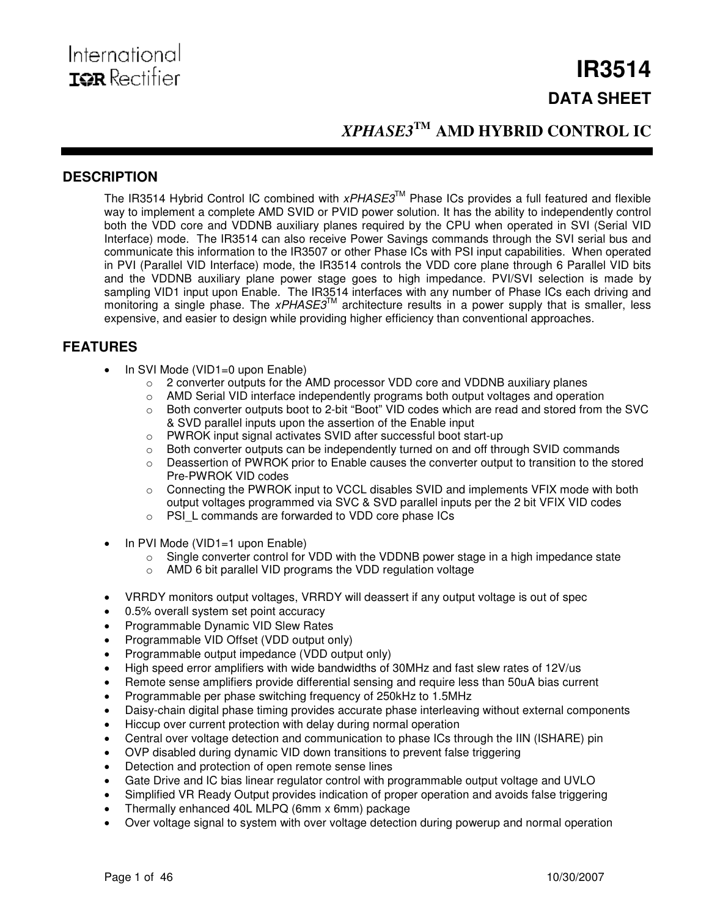# **IR3514 DATA SHEET**

# *XPHASE3* **TM AMD HYBRID CONTROL IC**

# **DESCRIPTION**

The IR3514 Hybrid Control IC combined with *xPHASE3*™ Phase ICs provides a full featured and flexible way to implement a complete AMD SVID or PVID power solution. It has the ability to independently control both the VDD core and VDDNB auxiliary planes required by the CPU when operated in SVI (Serial VID Interface) mode. The IR3514 can also receive Power Savings commands through the SVI serial bus and communicate this information to the IR3507 or other Phase ICs with PSI input capabilities. When operated in PVI (Parallel VID Interface) mode, the IR3514 controls the VDD core plane through 6 Parallel VID bits and the VDDNB auxiliary plane power stage goes to high impedance. PVI/SVI selection is made by sampling VID1 input upon Enable. The IR3514 interfaces with any number of Phase ICs each driving and monitoring a single phase. The xPHASE3<sup>™</sup> architecture results in a power supply that is smaller, less expensive, and easier to design while providing higher efficiency than conventional approaches.

## **FEATURES**

- In SVI Mode (VID1=0 upon Enable)<br>  $\circ$  2 converter outputs for the *l* 
	- 2 converter outputs for the AMD processor VDD core and VDDNB auxiliary planes
	- o AMD Serial VID interface independently programs both output voltages and operation
	- o Both converter outputs boot to 2-bit "Boot" VID codes which are read and stored from the SVC & SVD parallel inputs upon the assertion of the Enable input
	- o PWROK input signal activates SVID after successful boot start-up
	- o Both converter outputs can be independently turned on and off through SVID commands
	- $\circ$  Deassertion of PWROK prior to Enable causes the converter output to transition to the stored Pre-PWROK VID codes
	- $\circ$  Connecting the PWROK input to VCCL disables SVID and implements VFIX mode with both output voltages programmed via SVC & SVD parallel inputs per the 2 bit VFIX VID codes
	- o PSI\_L commands are forwarded to VDD core phase ICs
- In PVI Mode (VID1=1 upon Enable)
	- o Single converter control for VDD with the VDDNB power stage in a high impedance state
	- o AMD 6 bit parallel VID programs the VDD regulation voltage
- VRRDY monitors output voltages, VRRDY will deassert if any output voltage is out of spec
- 0.5% overall system set point accuracy
- Programmable Dynamic VID Slew Rates
- Programmable VID Offset (VDD output only)
- Programmable output impedance (VDD output only)
- High speed error amplifiers with wide bandwidths of 30MHz and fast slew rates of 12V/us
- Remote sense amplifiers provide differential sensing and require less than 50uA bias current
- Programmable per phase switching frequency of 250kHz to 1.5MHz
- Daisy-chain digital phase timing provides accurate phase interleaving without external components
- Hiccup over current protection with delay during normal operation
- Central over voltage detection and communication to phase ICs through the IIN (ISHARE) pin
- OVP disabled during dynamic VID down transitions to prevent false triggering
- Detection and protection of open remote sense lines
- Gate Drive and IC bias linear regulator control with programmable output voltage and UVLO
- Simplified VR Ready Output provides indication of proper operation and avoids false triggering
- Thermally enhanced 40L MLPQ (6mm x 6mm) package
- Over voltage signal to system with over voltage detection during powerup and normal operation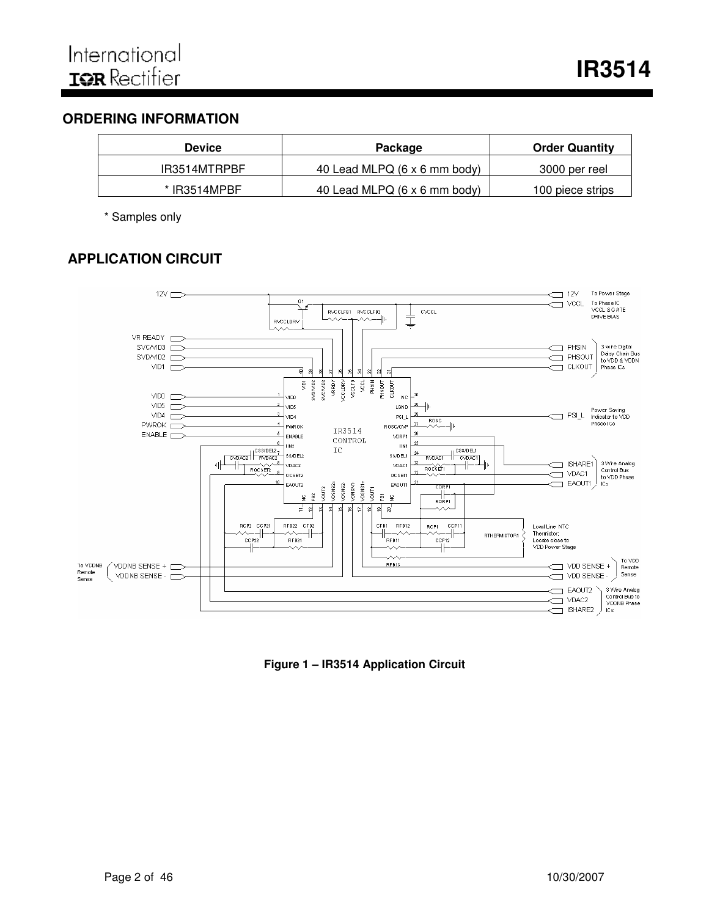# **ORDERING INFORMATION**

| <b>Device</b>  | Package                      | <b>Order Quantity</b> |
|----------------|------------------------------|-----------------------|
| IR3514MTRPBF   | 40 Lead MLPQ (6 x 6 mm body) | 3000 per reel         |
| $*$ IR3514MPBF | 40 Lead MLPQ (6 x 6 mm body) | 100 piece strips      |

\* Samples only

# **APPLICATION CIRCUIT**



**Figure 1 – IR3514 Application Circuit**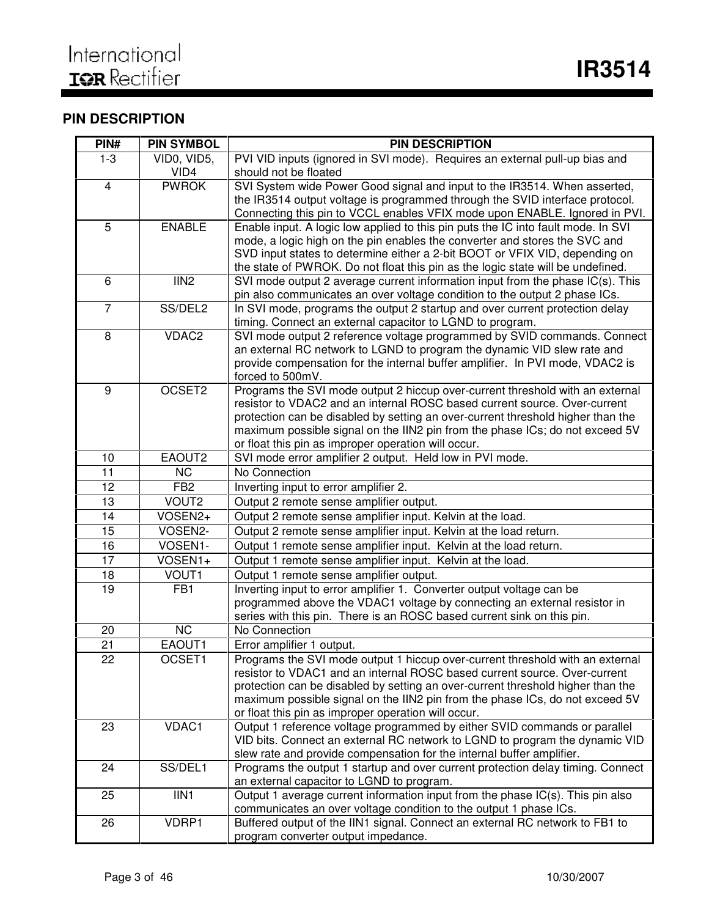# **PIN DESCRIPTION**

| PIN#                    | <b>PIN SYMBOL</b> | <b>PIN DESCRIPTION</b>                                                                                                                                       |
|-------------------------|-------------------|--------------------------------------------------------------------------------------------------------------------------------------------------------------|
| $1 - 3$                 | VID0, VID5,       | PVI VID inputs (ignored in SVI mode). Requires an external pull-up bias and                                                                                  |
|                         | VID4              | should not be floated                                                                                                                                        |
| $\overline{\mathbf{4}}$ | <b>PWROK</b>      | SVI System wide Power Good signal and input to the IR3514. When asserted,                                                                                    |
|                         |                   | the IR3514 output voltage is programmed through the SVID interface protocol.                                                                                 |
|                         |                   | Connecting this pin to VCCL enables VFIX mode upon ENABLE. Ignored in PVI.                                                                                   |
| 5                       | <b>ENABLE</b>     | Enable input. A logic low applied to this pin puts the IC into fault mode. In SVI                                                                            |
|                         |                   | mode, a logic high on the pin enables the converter and stores the SVC and                                                                                   |
|                         |                   | SVD input states to determine either a 2-bit BOOT or VFIX VID, depending on                                                                                  |
|                         |                   | the state of PWROK. Do not float this pin as the logic state will be undefined.                                                                              |
| 6                       | IIN <sub>2</sub>  | SVI mode output 2 average current information input from the phase IC(s). This                                                                               |
| $\overline{7}$          | SS/DEL2           | pin also communicates an over voltage condition to the output 2 phase ICs.                                                                                   |
|                         |                   | In SVI mode, programs the output 2 startup and over current protection delay                                                                                 |
| 8                       | VDAC2             | timing. Connect an external capacitor to LGND to program.<br>SVI mode output 2 reference voltage programmed by SVID commands. Connect                        |
|                         |                   | an external RC network to LGND to program the dynamic VID slew rate and                                                                                      |
|                         |                   | provide compensation for the internal buffer amplifier. In PVI mode, VDAC2 is                                                                                |
|                         |                   | forced to 500mV.                                                                                                                                             |
| 9                       | OCSET2            | Programs the SVI mode output 2 hiccup over-current threshold with an external                                                                                |
|                         |                   | resistor to VDAC2 and an internal ROSC based current source. Over-current                                                                                    |
|                         |                   | protection can be disabled by setting an over-current threshold higher than the                                                                              |
|                         |                   | maximum possible signal on the IIN2 pin from the phase ICs; do not exceed 5V                                                                                 |
|                         |                   | or float this pin as improper operation will occur.                                                                                                          |
| 10                      | EAOUT2            | SVI mode error amplifier 2 output. Held low in PVI mode.                                                                                                     |
| 11                      | <b>NC</b>         | No Connection                                                                                                                                                |
| 12                      | FB <sub>2</sub>   | Inverting input to error amplifier 2.                                                                                                                        |
| 13                      | VOUT2             | Output 2 remote sense amplifier output.                                                                                                                      |
| 14                      | VOSEN2+           | Output 2 remote sense amplifier input. Kelvin at the load.                                                                                                   |
| 15                      | VOSEN2-           | Output 2 remote sense amplifier input. Kelvin at the load return.                                                                                            |
| $\overline{16}$         | VOSEN1-           | Output 1 remote sense amplifier input. Kelvin at the load return.                                                                                            |
| 17                      | VOSEN1+           | Output 1 remote sense amplifier input. Kelvin at the load.                                                                                                   |
| 18                      | VOUT1             | Output 1 remote sense amplifier output.                                                                                                                      |
| 19                      | FB1               | Inverting input to error amplifier 1. Converter output voltage can be                                                                                        |
|                         |                   | programmed above the VDAC1 voltage by connecting an external resistor in                                                                                     |
|                         |                   | series with this pin. There is an ROSC based current sink on this pin.                                                                                       |
| 20                      | <b>NC</b>         | No Connection                                                                                                                                                |
| 21                      | EAOUT1            | Error amplifier 1 output.                                                                                                                                    |
| 22                      | OCSET1            | Programs the SVI mode output 1 hiccup over-current threshold with an external                                                                                |
|                         |                   | resistor to VDAC1 and an internal ROSC based current source. Over-current<br>protection can be disabled by setting an over-current threshold higher than the |
|                         |                   | maximum possible signal on the IIN2 pin from the phase ICs, do not exceed 5V                                                                                 |
|                         |                   | or float this pin as improper operation will occur.                                                                                                          |
| 23                      | VDAC1             | Output 1 reference voltage programmed by either SVID commands or parallel                                                                                    |
|                         |                   | VID bits. Connect an external RC network to LGND to program the dynamic VID                                                                                  |
|                         |                   | slew rate and provide compensation for the internal buffer amplifier.                                                                                        |
| 24                      | SS/DEL1           | Programs the output 1 startup and over current protection delay timing. Connect                                                                              |
|                         |                   | an external capacitor to LGND to program.                                                                                                                    |
| 25                      | IIN1              | Output 1 average current information input from the phase IC(s). This pin also                                                                               |
|                         |                   | communicates an over voltage condition to the output 1 phase ICs.                                                                                            |
| 26                      | VDRP1             | Buffered output of the IIN1 signal. Connect an external RC network to FB1 to                                                                                 |
|                         |                   | program converter output impedance.                                                                                                                          |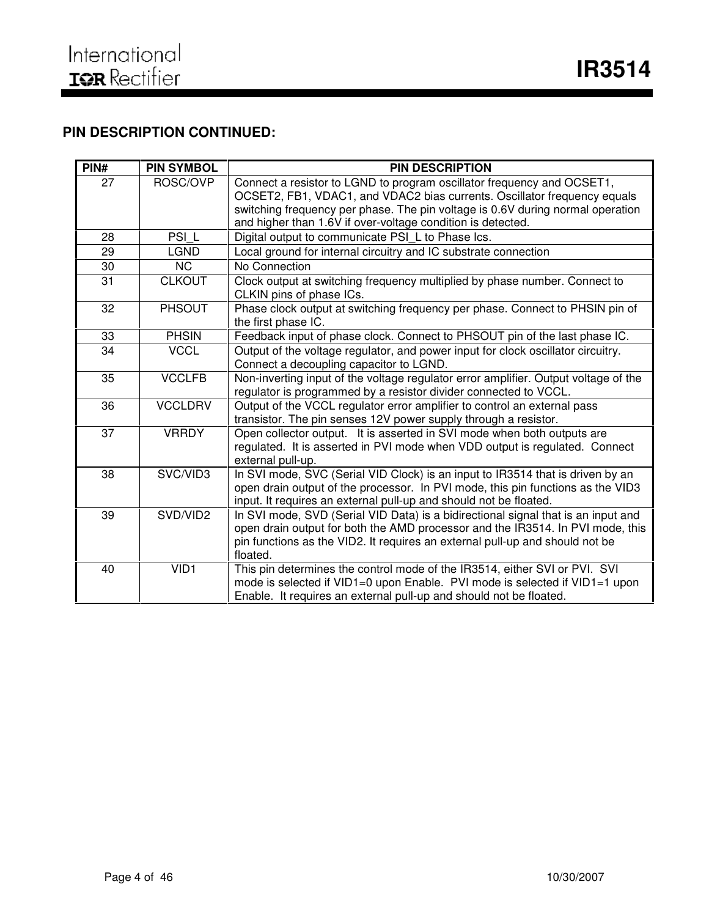# **PIN DESCRIPTION CONTINUED:**

| PIN# | <b>PIN SYMBOL</b> | <b>PIN DESCRIPTION</b>                                                                                                                                                                                                                                                                              |
|------|-------------------|-----------------------------------------------------------------------------------------------------------------------------------------------------------------------------------------------------------------------------------------------------------------------------------------------------|
| 27   | ROSC/OVP          | Connect a resistor to LGND to program oscillator frequency and OCSET1,<br>OCSET2, FB1, VDAC1, and VDAC2 bias currents. Oscillator frequency equals<br>switching frequency per phase. The pin voltage is 0.6V during normal operation<br>and higher than 1.6V if over-voltage condition is detected. |
| 28   | PSI L             | Digital output to communicate PSI_L to Phase Ics.                                                                                                                                                                                                                                                   |
| 29   | <b>LGND</b>       | Local ground for internal circuitry and IC substrate connection                                                                                                                                                                                                                                     |
| 30   | <b>NC</b>         | No Connection                                                                                                                                                                                                                                                                                       |
| 31   | <b>CLKOUT</b>     | Clock output at switching frequency multiplied by phase number. Connect to<br>CLKIN pins of phase ICs.                                                                                                                                                                                              |
| 32   | <b>PHSOUT</b>     | Phase clock output at switching frequency per phase. Connect to PHSIN pin of<br>the first phase IC.                                                                                                                                                                                                 |
| 33   | <b>PHSIN</b>      | Feedback input of phase clock. Connect to PHSOUT pin of the last phase IC.                                                                                                                                                                                                                          |
| 34   | <b>VCCL</b>       | Output of the voltage regulator, and power input for clock oscillator circuitry.<br>Connect a decoupling capacitor to LGND.                                                                                                                                                                         |
| 35   | <b>VCCLFB</b>     | Non-inverting input of the voltage regulator error amplifier. Output voltage of the<br>regulator is programmed by a resistor divider connected to VCCL.                                                                                                                                             |
| 36   | <b>VCCLDRV</b>    | Output of the VCCL regulator error amplifier to control an external pass<br>transistor. The pin senses 12V power supply through a resistor.                                                                                                                                                         |
| 37   | <b>VRRDY</b>      | Open collector output. It is asserted in SVI mode when both outputs are<br>regulated. It is asserted in PVI mode when VDD output is regulated. Connect<br>external pull-up.                                                                                                                         |
| 38   | SVC/VID3          | In SVI mode, SVC (Serial VID Clock) is an input to IR3514 that is driven by an<br>open drain output of the processor. In PVI mode, this pin functions as the VID3<br>input. It requires an external pull-up and should not be floated.                                                              |
| 39   | SVD/VID2          | In SVI mode, SVD (Serial VID Data) is a bidirectional signal that is an input and<br>open drain output for both the AMD processor and the IR3514. In PVI mode, this<br>pin functions as the VID2. It requires an external pull-up and should not be<br>floated.                                     |
| 40   | VID1              | This pin determines the control mode of the IR3514, either SVI or PVI. SVI<br>mode is selected if VID1=0 upon Enable. PVI mode is selected if VID1=1 upon<br>Enable. It requires an external pull-up and should not be floated.                                                                     |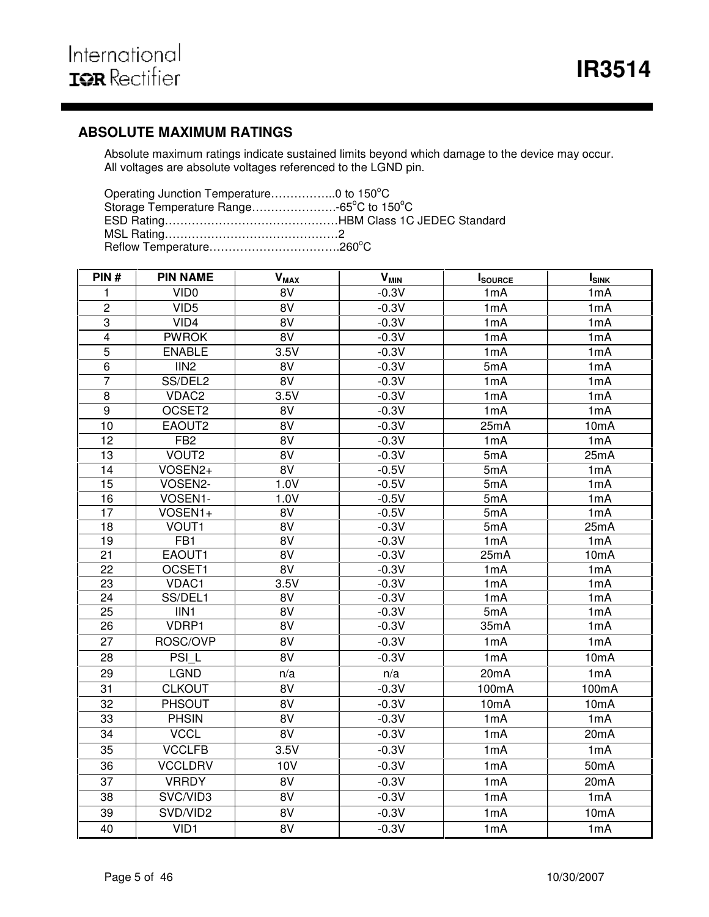# **ABSOLUTE MAXIMUM RATINGS**

Absolute maximum ratings indicate sustained limits beyond which damage to the device may occur. All voltages are absolute voltages referenced to the LGND pin.

| PIN#            | <b>PIN NAME</b>   | $V_{MAX}$       | <b>V<sub>MIN</sub></b> | <b>I</b> SOURCE | <b>I</b> <sub>SINK</sub> |
|-----------------|-------------------|-----------------|------------------------|-----------------|--------------------------|
| 1               | VID <sub>0</sub>  | 8V              | $-0.3V$                | 1mA             | 1mA                      |
| $\overline{c}$  | VID <sub>5</sub>  | 8V              | $-0.3V$                | 1mA             | 1mA                      |
| $\overline{3}$  | VID4              | 8V              | $-0.3V$                | 1mA             | 1mA                      |
| $\overline{4}$  | <b>PWROK</b>      | $\overline{8V}$ | $-0.3V$                | 1mA             | 1mA                      |
| 5               | <b>ENABLE</b>     | 3.5V            | $-0.3V$                | 1mA             | 1mA                      |
| $\overline{6}$  | IIN <sub>2</sub>  | 8V              | $-0.3V$                | 5mA             | 1mA                      |
| $\overline{7}$  | SS/DEL2           | 8V              | $-0.3V$                | 1mA             | 1mA                      |
| 8               | VDAC2             | 3.5V            | $-0.3V$                | 1mA             | 1mA                      |
| 9               | OCSET2            | $\overline{8V}$ | $-0.3V$                | 1mA             | 1mA                      |
| 10              | EAOUT2            | 8V              | $-0.3V$                | 25mA            | 10 <sub>m</sub> A        |
| 12              | FB <sub>2</sub>   | $\overline{8V}$ | $-0.3V$                | 1mA             | 1mA                      |
| 13              | VOUT <sub>2</sub> | 8V              | $-0.3V$                | 5mA             | 25mA                     |
| 14              | VOSEN2+           | 8V              | $-0.5V$                | 5mA             | 1mA                      |
| 15              | VOSEN2-           | 1.0V            | $-0.5V$                | 5mA             | 1mA                      |
| 16              | VOSEN1-           | 1.0V            | $-0.5V$                | 5mA             | 1mA                      |
| $\overline{17}$ | VOSEN1+           | 8V              | $-0.5V$                | 5mA             | 1mA                      |
| 18              | VOUT <sub>1</sub> | 8V              | $-0.3V$                | 5mA             | 25mA                     |
| $\overline{19}$ | FB1               | $\overline{8V}$ | $-0.3V$                | 1mA             | 1mA                      |
| 21              | EAOUT1            | 8V              | $-0.3V$                | 25mA            | 10mA                     |
| 22              | OCSET1            | 8V              | $-0.3V$                | 1mA             | 1mA                      |
| 23              | VDAC1             | 3.5V            | $-0.3V$                | 1mA             | 1mA                      |
| 24              | SS/DEL1           | 8V              | $-0.3V$                | 1mA             | 1mA                      |
| 25              | IIN1              | 8V              | $-0.3V$                | 5mA             | 1mA                      |
| $\overline{26}$ | VDRP1             | 8V              | $-0.3V$                | 35mA            | 1mA                      |
| 27              | ROSC/OVP          | $\overline{8V}$ | $-0.3V$                | 1mA             | 1mA                      |
| 28              | PSI <sub>L</sub>  | $\overline{8V}$ | $-0.3V$                | 1mA             | 10mA                     |
| 29              | <b>LGND</b>       | n/a             | n/a                    | 20mA            | 1mA                      |
| 31              | <b>CLKOUT</b>     | $\overline{8V}$ | $-0.3V$                | 100mA           | 100mA                    |
| $\overline{32}$ | <b>PHSOUT</b>     | $\overline{8V}$ | $-0.3V$                | 10mA            | 10mA                     |
| 33              | <b>PHSIN</b>      | 8V              | $-0.3V$                | 1mA             | 1mA                      |
| 34              | <b>VCCL</b>       | 8V              | $-0.3V$                | 1mA             | 20mA                     |
| 35              | <b>VCCLFB</b>     | 3.5V            | $-0.3V$                | 1mA             | 1mA                      |
| 36              | <b>VCCLDRV</b>    | 10V             | $-0.3V$                | 1mA             | 50 <sub>m</sub> A        |
| 37              | <b>VRRDY</b>      | 8V              | $-0.3V$                | 1mA             | 20mA                     |
| 38              | SVC/VID3          | 8V              | $-0.3V$                | 1mA             | 1mA                      |
| 39              | SVD/VID2          | 8V              | $-0.3V$                | 1mA             | 10mA                     |
| 40              | VID1              | 8V              | $-0.3V$                | 1mA             | 1mA                      |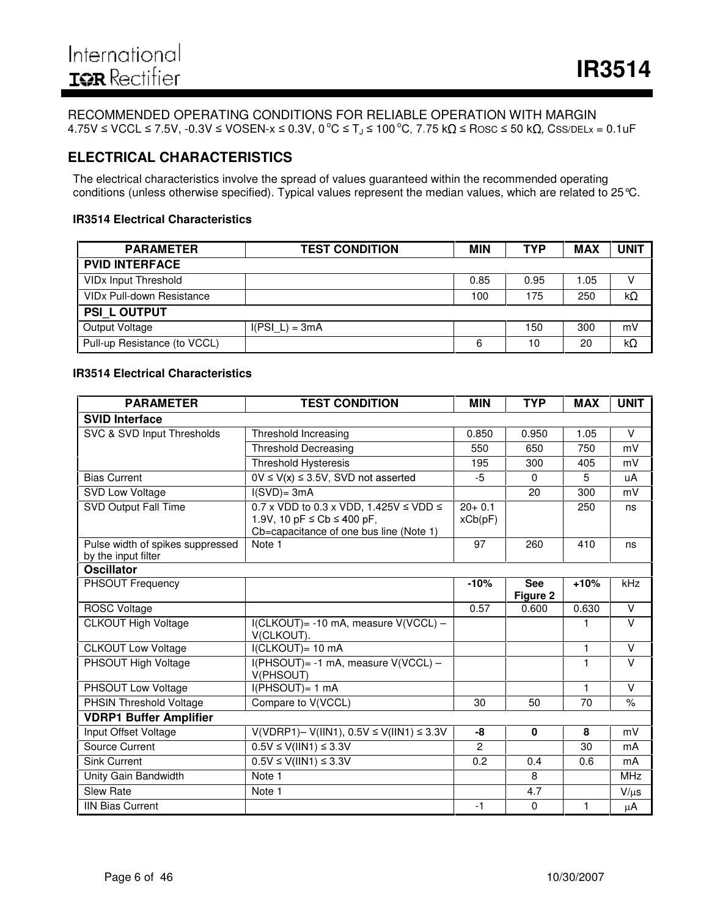#### RECOMMENDED OPERATING CONDITIONS FOR RELIABLE OPERATION WITH MARGIN  $4.75$ V ≤ VCCL ≤ 7.5V, -0.3V ≤ VOSEN-x ≤ 0.3V, 0 °C ≤ Tյ ≤ 100 °C, 7.75 kΩ ≤ Rosc ≤ 50 kΩ, Css/deLx = 0.1uF

# **ELECTRICAL CHARACTERISTICS**

The electrical characteristics involve the spread of values guaranteed within the recommended operating conditions (unless otherwise specified). Typical values represent the median values, which are related to 25°C.

#### **IR3514 Electrical Characteristics**

| <b>PARAMETER</b>                            | <b>TEST CONDITION</b> | <b>MIN</b> | TYP  | <b>MAX</b> | UNIT |
|---------------------------------------------|-----------------------|------------|------|------------|------|
| <b>PVID INTERFACE</b>                       |                       |            |      |            |      |
| VID <sub>x</sub> Input Threshold            |                       | 0.85       | 0.95 | 1.05       | v    |
| <b>VID<sub>x</sub></b> Pull-down Resistance |                       | 100        | 175  | 250        | kΩ   |
| <b>PSI L OUTPUT</b>                         |                       |            |      |            |      |
| Output Voltage                              | $I(PSI L) = 3mA$      |            | 150  | 300        | mV   |
| Pull-up Resistance (to VCCL)                |                       | 6          | 10   | 20         | kΩ   |

#### **IR3514 Electrical Characteristics**

| <b>PARAMETER</b>                                        | <b>TEST CONDITION</b>                                                                                                               | <b>MIN</b>            | <b>TYP</b>             | <b>MAX</b>   | <b>UNIT</b>   |
|---------------------------------------------------------|-------------------------------------------------------------------------------------------------------------------------------------|-----------------------|------------------------|--------------|---------------|
| <b>SVID Interface</b>                                   |                                                                                                                                     |                       |                        |              |               |
| SVC & SVD Input Thresholds                              | Threshold Increasing                                                                                                                | 0.850                 | 0.950                  | 1.05         | $\vee$        |
|                                                         | <b>Threshold Decreasing</b>                                                                                                         | 550                   | 650                    | 750          | mV            |
|                                                         | <b>Threshold Hysteresis</b>                                                                                                         | 195                   | 300                    | 405          | mV            |
| <b>Bias Current</b>                                     | $0V \le V(x) \le 3.5V$ , SVD not asserted                                                                                           | -5                    | $\Omega$               | 5            | uA            |
| SVD Low Voltage                                         | $I(SVD)=3mA$                                                                                                                        |                       | 20                     | 300          | mV            |
| SVD Output Fall Time                                    | 0.7 x VDD to 0.3 x VDD, 1.425V $\leq$ VDD $\leq$<br>1.9V, 10 pF $\leq$ Cb $\leq$ 400 pF,<br>Cb=capacitance of one bus line (Note 1) | $20 + 0.1$<br>xCb(pF) |                        | 250          | ns            |
| Pulse width of spikes suppressed<br>by the input filter | Note 1                                                                                                                              | 97                    | 260                    | 410          | ns            |
| <b>Oscillator</b>                                       |                                                                                                                                     |                       |                        |              |               |
| <b>PHSOUT Frequency</b>                                 |                                                                                                                                     | $-10%$                | <b>See</b><br>Figure 2 | $+10%$       | kHz           |
| <b>ROSC Voltage</b>                                     |                                                                                                                                     | 0.57                  | 0.600                  | 0.630        | V             |
| <b>CLKOUT High Voltage</b>                              | I(CLKOUT)= -10 mA, measure V(VCCL) -<br>V(CLKOUT).                                                                                  |                       |                        |              | $\vee$        |
| <b>CLKOUT Low Voltage</b>                               | I(CLKOUT)= 10 mA                                                                                                                    |                       |                        | $\mathbf{1}$ | $\vee$        |
| PHSOUT High Voltage                                     | I(PHSOUT)= -1 mA, measure V(VCCL) -<br>V(PHSOUT)                                                                                    |                       |                        | 1            | $\vee$        |
| PHSOUT Low Voltage                                      | I(PHSOUT)= 1 mA                                                                                                                     |                       |                        | $\mathbf{1}$ | $\vee$        |
| <b>PHSIN Threshold Voltage</b>                          | Compare to V(VCCL)                                                                                                                  | 30                    | 50                     | 70           | $\frac{9}{6}$ |
| <b>VDRP1 Buffer Amplifier</b>                           |                                                                                                                                     |                       |                        |              |               |
| Input Offset Voltage                                    | $V(VDRP1) - V(1IN1), 0.5V \le V(1IN1) \le 3.3V$                                                                                     | -8                    | $\mathbf 0$            | 8            | mV            |
| Source Current                                          | $0.5V \le V(11N1) \le 3.3V$                                                                                                         | $\mathfrak{p}$        |                        | 30           | mA            |
| <b>Sink Current</b>                                     | $0.5V \le V(11N1) \le 3.3V$                                                                                                         | 0.2                   | 0.4                    | 0.6          | mA            |
| Unity Gain Bandwidth                                    | Note 1                                                                                                                              |                       | 8                      |              | <b>MHz</b>    |
| <b>Slew Rate</b>                                        | Note 1                                                                                                                              |                       | 4.7                    |              | $V/\mu s$     |
| <b>IIN Bias Current</b>                                 |                                                                                                                                     | $-1$                  | $\mathbf 0$            | $\mathbf{1}$ | $\mu$ A       |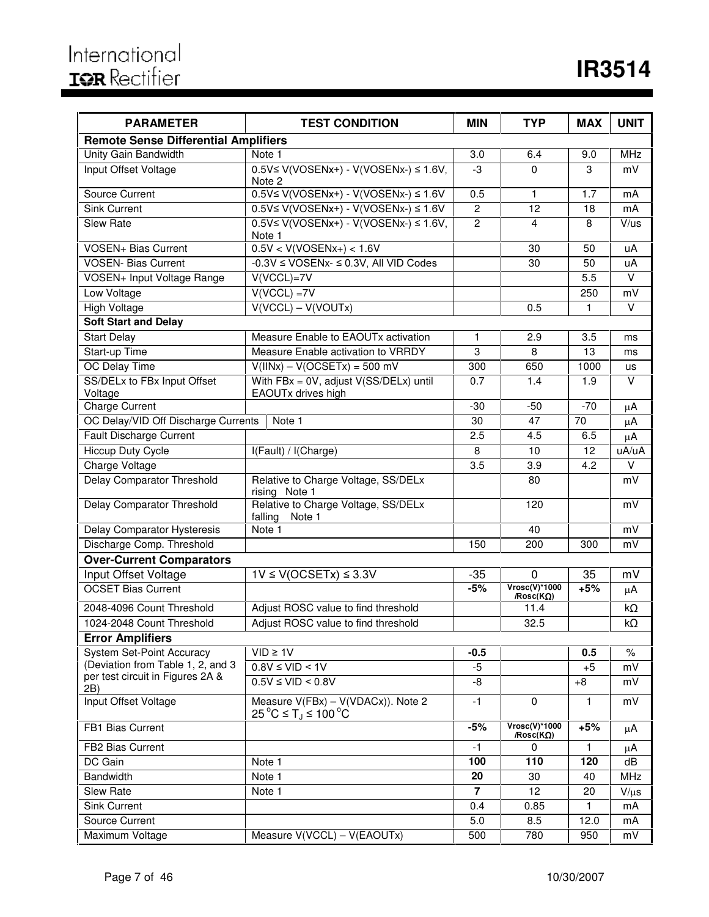| <b>PARAMETER</b>                            | <b>TEST CONDITION</b>                                                          | <b>MIN</b>     | <b>TYP</b>                           | <b>MAX</b>   | <b>UNIT</b> |
|---------------------------------------------|--------------------------------------------------------------------------------|----------------|--------------------------------------|--------------|-------------|
| <b>Remote Sense Differential Amplifiers</b> |                                                                                |                |                                      |              |             |
| Unity Gain Bandwidth                        | Note 1                                                                         | 3.0            | 6.4                                  | 9.0          | <b>MHz</b>  |
| Input Offset Voltage                        | $0.5V \le V(VOSENx+) - V(VOSENx-) \le 1.6V$<br>Note 2                          | -3             | $\Omega$                             | 3            | mV          |
| Source Current                              | $0.5V \le V(VOSENx+) - V(VOSENx-) \le 1.6V$                                    | 0.5            | 1                                    | 1.7          | mA          |
| <b>Sink Current</b>                         | $0.5V \le V(VOSENx+) - V(VOSENx-) \le 1.6V$                                    | $\overline{c}$ | 12                                   | 18           | mA          |
| Slew Rate                                   | $0.5V \leq V(VOSENx+) - V(VOSENx-) \leq 1.6V,$<br>Note 1                       | $\overline{c}$ | 4                                    | 8            | V/us        |
| <b>VOSEN+ Bias Current</b>                  | $0.5V < V(VOSENx+) < 1.6V$                                                     |                | 30                                   | 50           | uA          |
| VOSEN- Bias Current                         | -0.3V ≤ VOSENx- ≤ 0.3V, All VID Codes                                          |                | 30                                   | 50           | uA          |
| <b>VOSEN+ Input Voltage Range</b>           | $V(VCCL)=7V$                                                                   |                |                                      | 5.5          | $\vee$      |
| Low Voltage                                 | $V(VCCL) = 7V$                                                                 |                |                                      | 250          | mV          |
| High Voltage                                | $V(VCCL) - V(VOUTx)$                                                           |                | 0.5                                  | 1            | $\vee$      |
| <b>Soft Start and Delay</b>                 |                                                                                |                |                                      |              |             |
| <b>Start Delay</b>                          | Measure Enable to EAOUTx activation                                            | 1              | 2.9                                  | 3.5          | ms          |
| Start-up Time                               | Measure Enable activation to VRRDY                                             | 3              | 8                                    | 13           | ms          |
| OC Delay Time                               | $V(IINx) - V(OCSETx) = 500 mV$                                                 | 300            | 650                                  | 1000         | us          |
| SS/DELx to FBx Input Offset<br>Voltage      | With FBx = 0V, adjust V(SS/DELx) until<br>EAOUTx drives high                   | 0.7            | 1.4                                  | 1.9          | v           |
| <b>Charge Current</b>                       |                                                                                | $-30$          | $-50$                                | $-70$        | μA          |
| OC Delay/VID Off Discharge Currents         | Note 1                                                                         | 30             | 47                                   | 70           | $\mu$ A     |
| <b>Fault Discharge Current</b>              |                                                                                | 2.5            | 4.5                                  | 6.5          | μA          |
| <b>Hiccup Duty Cycle</b>                    | I(Fault) / I(Charge)                                                           | 8              | 10                                   | 12           | uA/uA       |
| <b>Charge Voltage</b>                       |                                                                                | 3.5            | 3.9                                  | 4.2          | V           |
| Delay Comparator Threshold                  | Relative to Charge Voltage, SS/DELx<br>rising Note 1                           |                | 80                                   |              | mV          |
| Delay Comparator Threshold                  | Relative to Charge Voltage, SS/DELx<br>falling<br>Note 1                       |                | 120                                  |              | mV          |
| Delay Comparator Hysteresis                 | Note 1                                                                         |                | 40                                   |              | mV          |
| Discharge Comp. Threshold                   |                                                                                | 150            | 200                                  | 300          | mV          |
| <b>Over-Current Comparators</b>             |                                                                                |                |                                      |              |             |
| Input Offset Voltage                        | $1V \leq V(OCSETx) \leq 3.3V$                                                  | $-35$          | 0                                    | 35           | mV          |
| <b>OCSET Bias Current</b>                   |                                                                                | $-5%$          | $Vrosc(V)*1000$<br>/ $Rosc(K\Omega)$ | $+5%$        | μA          |
| 2048-4096 Count Threshold                   | Adjust ROSC value to find threshold                                            |                | 11.4                                 |              | $k\Omega$   |
| 1024-2048 Count Threshold                   | Adjust ROSC value to find threshold                                            |                | 32.5                                 |              | kO          |
| <b>Error Amplifiers</b>                     |                                                                                |                |                                      |              |             |
| <b>System Set-Point Accuracy</b>            | $VID \geq 1V$                                                                  | $-0.5$         |                                      | 0.5          | $\%$        |
| (Deviation from Table 1, 2, and 3           | $0.8V \leq VID < 1V$                                                           | $-5$           |                                      | $+5$         | mV          |
| per test circuit in Figures 2A &<br>2B)     | $0.5V \leq VID < 0.8V$                                                         | -8             |                                      | $+8$         | mV          |
| Input Offset Voltage                        | Measure V(FBx) - V(VDACx)). Note 2<br>$25^{\circ}$ C ≤ T <sub>J</sub> ≤ 100 °C | $-1$           | 0                                    | 1            | mV          |
| FB1 Bias Current                            |                                                                                | $-5%$          | $Vrosc(V)*1000$<br>/ $Rosc(K\Omega)$ | $+5%$        | μA          |
| FB2 Bias Current                            |                                                                                | $-1$           | $\mathbf 0$                          | 1            | $\mu$ A     |
| DC Gain                                     | Note 1                                                                         | 100            | 110                                  | 120          | dB          |
| Bandwidth                                   | Note 1                                                                         | 20             | 30                                   | 40           | <b>MHz</b>  |
| Slew Rate                                   | Note 1                                                                         | 7              | 12                                   | 20           | $V/\mu s$   |
| Sink Current                                |                                                                                | 0.4            | 0.85                                 | $\mathbf{1}$ | mA          |
| Source Current                              |                                                                                | 5.0            | 8.5                                  | 12.0         | mA          |
| Maximum Voltage                             | Measure V(VCCL) - V(EAOUTx)                                                    | 500            | 780                                  | 950          | mV          |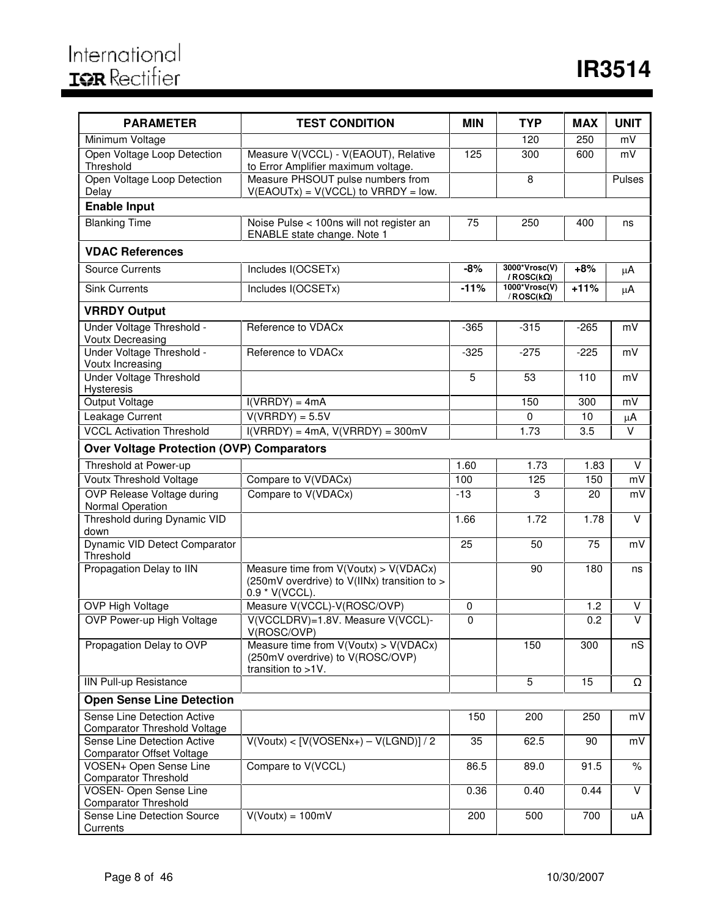| <b>PARAMETER</b>                                                   | <b>TEST CONDITION</b>                                                                                   | <b>MIN</b> | <b>TYP</b>                                             | <b>MAX</b> | <b>UNIT</b>    |
|--------------------------------------------------------------------|---------------------------------------------------------------------------------------------------------|------------|--------------------------------------------------------|------------|----------------|
| Minimum Voltage                                                    |                                                                                                         |            | 120                                                    | 250        | mV             |
| Open Voltage Loop Detection<br>Threshold                           | Measure V(VCCL) - V(EAOUT), Relative<br>to Error Amplifier maximum voltage.                             | 125        | 300                                                    | 600        | mV             |
| Open Voltage Loop Detection<br>Delay                               | Measure PHSOUT pulse numbers from<br>$V(EAOUTx) = V(VCCL)$ to $VRRDY = low$ .                           |            | $\, 8$                                                 |            | Pulses         |
| <b>Enable Input</b>                                                |                                                                                                         |            |                                                        |            |                |
| <b>Blanking Time</b>                                               | Noise Pulse < 100ns will not register an                                                                | 75         | 250                                                    | 400        | ns             |
|                                                                    | ENABLE state change. Note 1                                                                             |            |                                                        |            |                |
| <b>VDAC References</b>                                             |                                                                                                         |            |                                                        |            |                |
| <b>Source Currents</b>                                             | Includes I(OCSETx)                                                                                      | $-8%$      | 3000*Vrosc(V)<br>/ $\mathsf{ROSC}(\mathsf{k}\Omega)$   | $+8%$      | $\mu$ A        |
| <b>Sink Currents</b>                                               | Includes I(OCSETx)                                                                                      | $-11%$     | $1000*Vrosc(V)$<br>/ $\mathsf{ROSC}(\mathsf{k}\Omega)$ | $+11%$     | μA             |
| <b>VRRDY Output</b>                                                |                                                                                                         |            |                                                        |            |                |
| Under Voltage Threshold -<br><b>Voutx Decreasing</b>               | Reference to VDACx                                                                                      | $-365$     | $-315$                                                 | $-265$     | mV             |
| Under Voltage Threshold -<br>Voutx Increasing                      | Reference to VDACx                                                                                      | $-325$     | $-275$                                                 | $-225$     | mV             |
| <b>Under Voltage Threshold</b><br>Hysteresis                       |                                                                                                         | 5          | $\overline{53}$                                        | 110        | mV             |
| <b>Output Voltage</b>                                              | $I(VRRDY) = 4mA$                                                                                        |            | 150                                                    | 300        | mV             |
| Leakage Current                                                    | $V(VRRDY) = 5.5V$                                                                                       |            | 0                                                      | 10         | μA             |
| <b>VCCL Activation Threshold</b>                                   | $I(VRRDY) = 4mA$ , $V(VRRDY) = 300mV$                                                                   |            | 1.73                                                   | 3.5        | $\vee$         |
| <b>Over Voltage Protection (OVP) Comparators</b>                   |                                                                                                         |            |                                                        |            |                |
| Threshold at Power-up                                              |                                                                                                         | 1.60       | 1.73                                                   | 1.83       | V              |
| Voutx Threshold Voltage                                            | Compare to V(VDACx)                                                                                     | 100        | 125                                                    | 150        | mV             |
| <b>OVP Release Voltage during</b><br>Normal Operation              | Compare to V(VDACx)                                                                                     | $-13$      | 3                                                      | 20         | mV             |
| Threshold during Dynamic VID<br>down                               |                                                                                                         | 1.66       | 1.72                                                   | 1.78       | $\vee$         |
| Dynamic VID Detect Comparator<br>Threshold                         |                                                                                                         | 25         | 50                                                     | 75         | mV             |
| Propagation Delay to IIN                                           | Measure time from V(Voutx) > V(VDACx)<br>(250mV overdrive) to V(IINx) transition to ><br>0.9 * V(VCCL). |            | 90                                                     | 180        | ns             |
| OVP High Voltage                                                   | Measure V(VCCL)-V(ROSC/OVP)                                                                             | $\pmb{0}$  |                                                        | 1.2        | V              |
| OVP Power-up High Voltage                                          | V(VCCLDRV)=1.8V. Measure V(VCCL)-<br>V(ROSC/OVP)                                                        | 0          |                                                        | 0.2        | $\overline{V}$ |
| Propagation Delay to OVP                                           | Measure time from $V(Voutx) > V(VDACx)$<br>(250mV overdrive) to V(ROSC/OVP)<br>transition to >1V.       |            | 150                                                    | 300        | nS             |
| <b>IIN Pull-up Resistance</b>                                      |                                                                                                         |            | 5                                                      | 15         | $\Omega$       |
| <b>Open Sense Line Detection</b>                                   |                                                                                                         |            |                                                        |            |                |
| Sense Line Detection Active<br><b>Comparator Threshold Voltage</b> |                                                                                                         | 150        | 200                                                    | 250        | mV             |
| Sense Line Detection Active<br><b>Comparator Offset Voltage</b>    | $V(Voutx) < [V(VOSENx+) - V(LGND)]/2$                                                                   | 35         | 62.5                                                   | 90         | mV             |
| VOSEN+ Open Sense Line                                             | Compare to V(VCCL)                                                                                      | 86.5       | 89.0                                                   | 91.5       | $\%$           |
| <b>Comparator Threshold</b><br><b>VOSEN- Open Sense Line</b>       |                                                                                                         | 0.36       | 0.40                                                   | 0.44       | V              |
| <b>Comparator Threshold</b>                                        |                                                                                                         |            |                                                        |            |                |
| Sense Line Detection Source                                        | $V( Voutx) = 100mV$                                                                                     | 200        | 500                                                    | 700        | uA             |
| Currents                                                           |                                                                                                         |            |                                                        |            |                |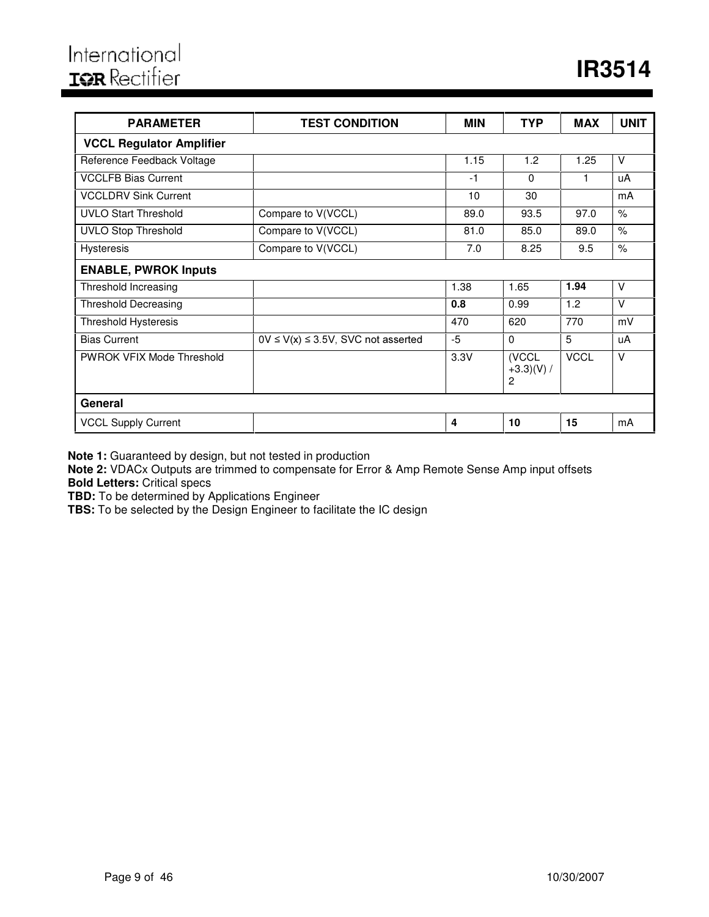| <b>PARAMETER</b>                 | <b>TEST CONDITION</b>                     | <b>MIN</b> | <b>TYP</b>                | <b>MAX</b>  | <b>UNIT</b> |
|----------------------------------|-------------------------------------------|------------|---------------------------|-------------|-------------|
| <b>VCCL Regulator Amplifier</b>  |                                           |            |                           |             |             |
| Reference Feedback Voltage       |                                           | 1.15       | 1.2                       | 1.25        | $\vee$      |
| <b>VCCLFB Bias Current</b>       |                                           | $-1$       | $\Omega$                  | 1           | uA          |
| <b>VCCLDRV Sink Current</b>      |                                           | 10         | 30                        |             | mA          |
| <b>UVLO Start Threshold</b>      | Compare to V(VCCL)                        | 89.0       | 93.5                      | 97.0        | $\%$        |
| <b>UVLO Stop Threshold</b>       | Compare to V(VCCL)                        | 81.0       | 85.0                      | 89.0        | $\%$        |
| <b>Hysteresis</b>                | Compare to V(VCCL)                        | 7.0        | 8.25                      | 9.5         | $\%$        |
| <b>ENABLE, PWROK Inputs</b>      |                                           |            |                           |             |             |
| Threshold Increasing             |                                           | 1.38       | 1.65                      | 1.94        | $\vee$      |
| <b>Threshold Decreasing</b>      |                                           | 0.8        | 0.99                      | 1.2         | $\vee$      |
| <b>Threshold Hysteresis</b>      |                                           | 470        | 620                       | 770         | mV          |
| <b>Bias Current</b>              | $0V \le V(x) \le 3.5V$ , SVC not asserted | $-5$       | 0                         | 5           | uA          |
| <b>PWROK VFIX Mode Threshold</b> |                                           | 3.3V       | (VCCL<br>$+3.3)(V)/$<br>2 | <b>VCCL</b> | $\vee$      |
| General                          |                                           |            |                           |             |             |
| <b>VCCL Supply Current</b>       |                                           | 4          | 10                        | 15          | mA          |

**Note 1:** Guaranteed by design, but not tested in production

**Note 2:** VDACx Outputs are trimmed to compensate for Error & Amp Remote Sense Amp input offsets

**Bold Letters:** Critical specs

**TBD:** To be determined by Applications Engineer

**TBS:** To be selected by the Design Engineer to facilitate the IC design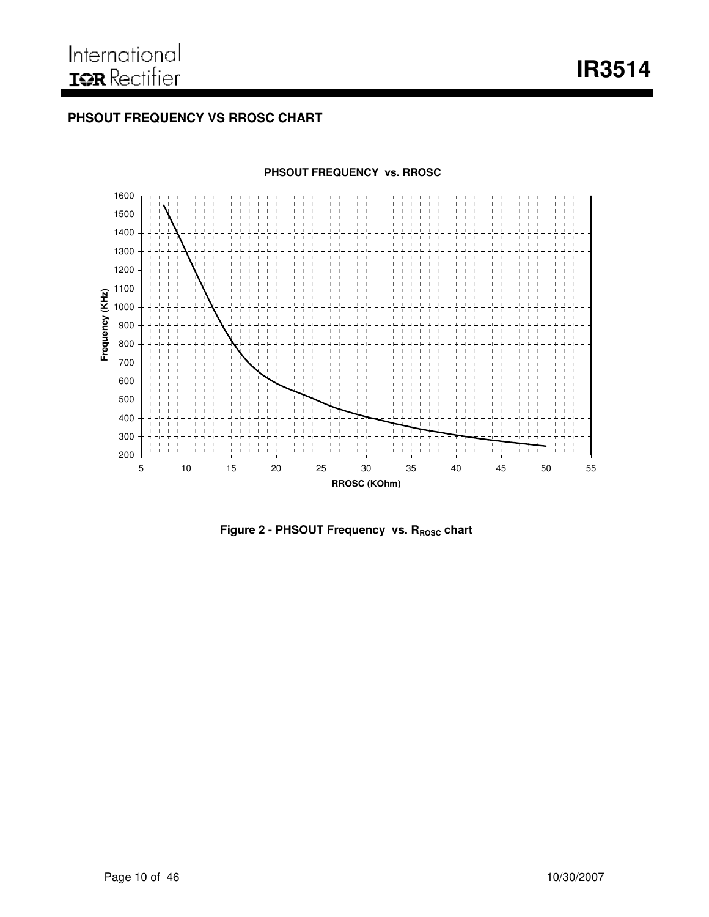**IR3514**

### **PHSOUT FREQUENCY VS RROSC CHART**



#### **PHSOUT FREQUENCY vs. RROSC**

**Figure 2 - PHSOUT Frequency vs. R<sub>ROSC</sub> chart**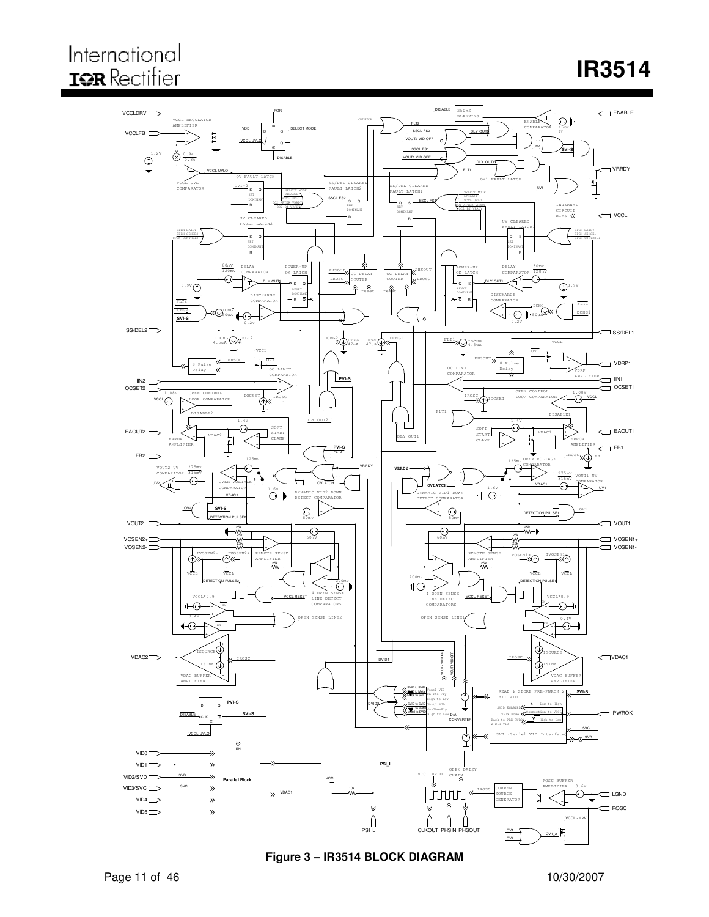# International **IQR** Rectifier

# **IR3514**



**Figure 3 – IR3514 BLOCK DIAGRAM**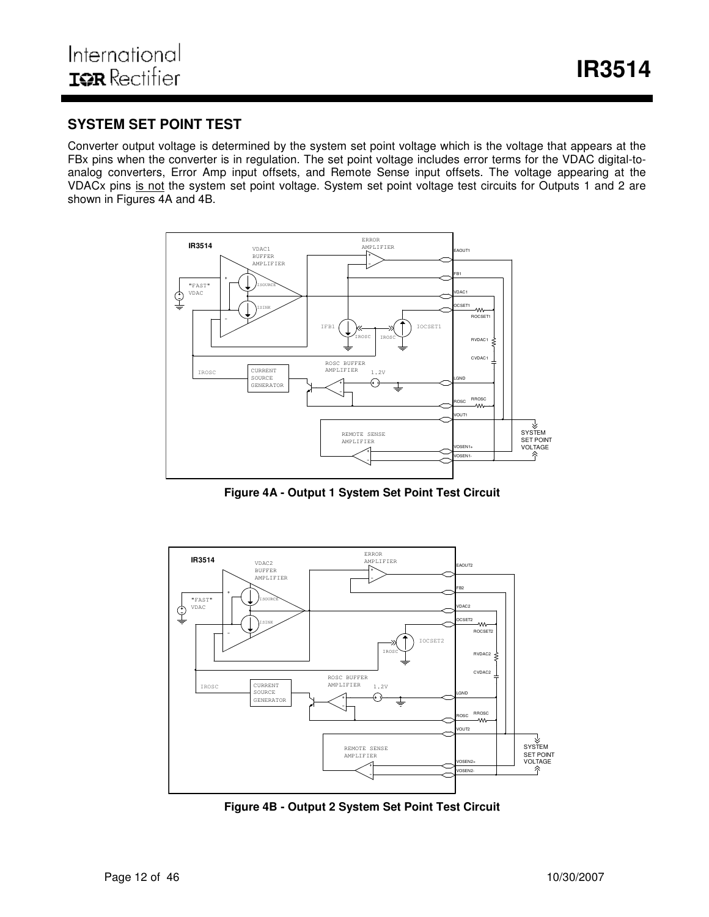### **SYSTEM SET POINT TEST**

Converter output voltage is determined by the system set point voltage which is the voltage that appears at the FBx pins when the converter is in regulation. The set point voltage includes error terms for the VDAC digital-toanalog converters, Error Amp input offsets, and Remote Sense input offsets. The voltage appearing at the VDACx pins is not the system set point voltage. System set point voltage test circuits for Outputs 1 and 2 are shown in Figures 4A and 4B.



**Figure 4A - Output 1 System Set Point Test Circuit**



**Figure 4B - Output 2 System Set Point Test Circuit**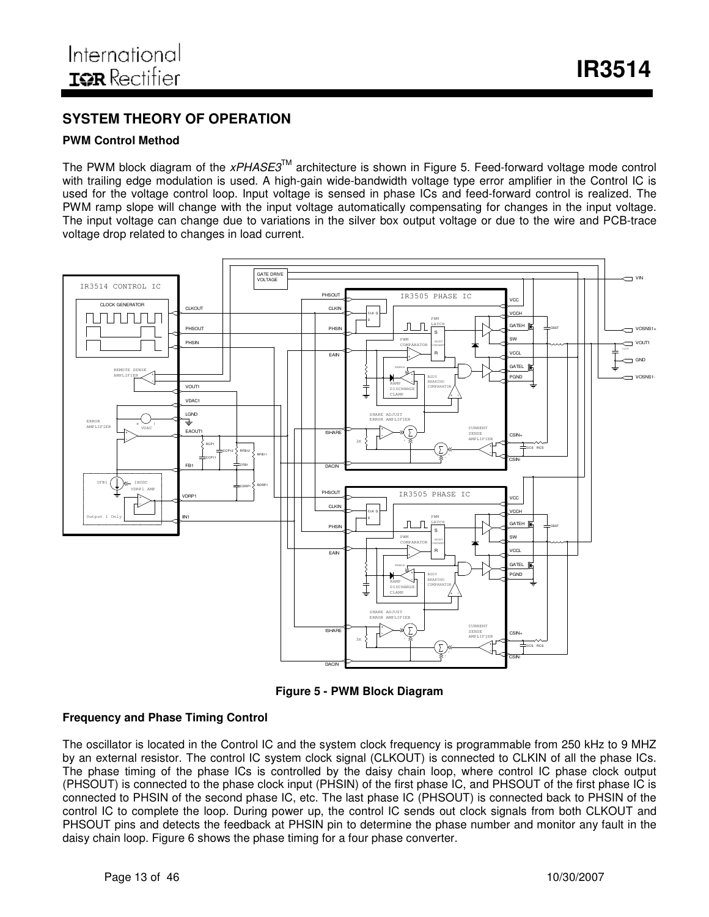# **SYSTEM THEORY OF OPERATION**

#### **PWM Control Method**

The PWM block diagram of the *xPHASE3*™ architecture is shown in Figure 5. Feed-forward voltage mode control with trailing edge modulation is used. A high-gain wide-bandwidth voltage type error amplifier in the Control IC is used for the voltage control loop. Input voltage is sensed in phase ICs and feed-forward control is realized. The PWM ramp slope will change with the input voltage automatically compensating for changes in the input voltage. The input voltage can change due to variations in the silver box output voltage or due to the wire and PCB-trace voltage drop related to changes in load current.



**Figure 5 - PWM Block Diagram**

#### **Frequency and Phase Timing Control**

The oscillator is located in the Control IC and the system clock frequency is programmable from 250 kHz to 9 MHZ by an external resistor. The control IC system clock signal (CLKOUT) is connected to CLKIN of all the phase ICs. The phase timing of the phase ICs is controlled by the daisy chain loop, where control IC phase clock output (PHSOUT) is connected to the phase clock input (PHSIN) of the first phase IC, and PHSOUT of the first phase IC is connected to PHSIN of the second phase IC, etc. The last phase IC (PHSOUT) is connected back to PHSIN of the control IC to complete the loop. During power up, the control IC sends out clock signals from both CLKOUT and PHSOUT pins and detects the feedback at PHSIN pin to determine the phase number and monitor any fault in the daisy chain loop. Figure 6 shows the phase timing for a four phase converter.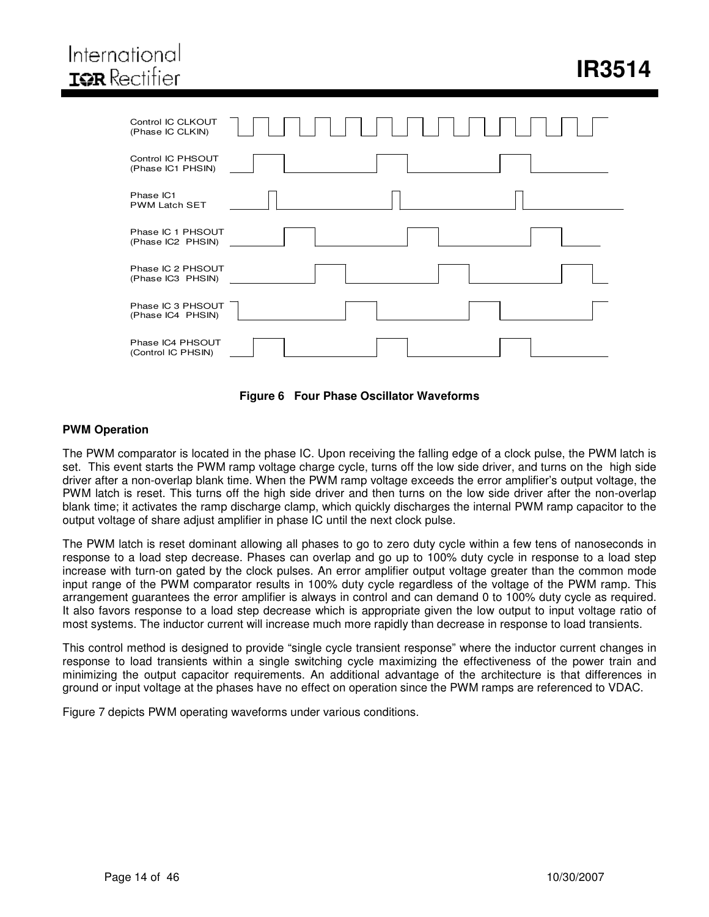# International **IOR** Rectifier

| Control IC CLKOUT<br>(Phase IC CLKIN)  |
|----------------------------------------|
| Control IC PHSOUT<br>(Phase IC1 PHSIN) |
| Phase IC1<br><b>PWM Latch SET</b>      |
| Phase IC 1 PHSOUT<br>(Phase IC2 PHSIN) |
| Phase IC 2 PHSOUT<br>(Phase IC3 PHSIN) |
| Phase IC 3 PHSOUT<br>(Phase IC4 PHSIN) |
| Phase IC4 PHSOUT<br>(Control IC PHSIN) |



#### **PWM Operation**

The PWM comparator is located in the phase IC. Upon receiving the falling edge of a clock pulse, the PWM latch is set. This event starts the PWM ramp voltage charge cycle, turns off the low side driver, and turns on the high side driver after a non-overlap blank time. When the PWM ramp voltage exceeds the error amplifier's output voltage, the PWM latch is reset. This turns off the high side driver and then turns on the low side driver after the non-overlap blank time; it activates the ramp discharge clamp, which quickly discharges the internal PWM ramp capacitor to the output voltage of share adjust amplifier in phase IC until the next clock pulse.

The PWM latch is reset dominant allowing all phases to go to zero duty cycle within a few tens of nanoseconds in response to a load step decrease. Phases can overlap and go up to 100% duty cycle in response to a load step increase with turn-on gated by the clock pulses. An error amplifier output voltage greater than the common mode input range of the PWM comparator results in 100% duty cycle regardless of the voltage of the PWM ramp. This arrangement guarantees the error amplifier is always in control and can demand 0 to 100% duty cycle as required. It also favors response to a load step decrease which is appropriate given the low output to input voltage ratio of most systems. The inductor current will increase much more rapidly than decrease in response to load transients.

This control method is designed to provide "single cycle transient response" where the inductor current changes in response to load transients within a single switching cycle maximizing the effectiveness of the power train and minimizing the output capacitor requirements. An additional advantage of the architecture is that differences in ground or input voltage at the phases have no effect on operation since the PWM ramps are referenced to VDAC.

Figure 7 depicts PWM operating waveforms under various conditions.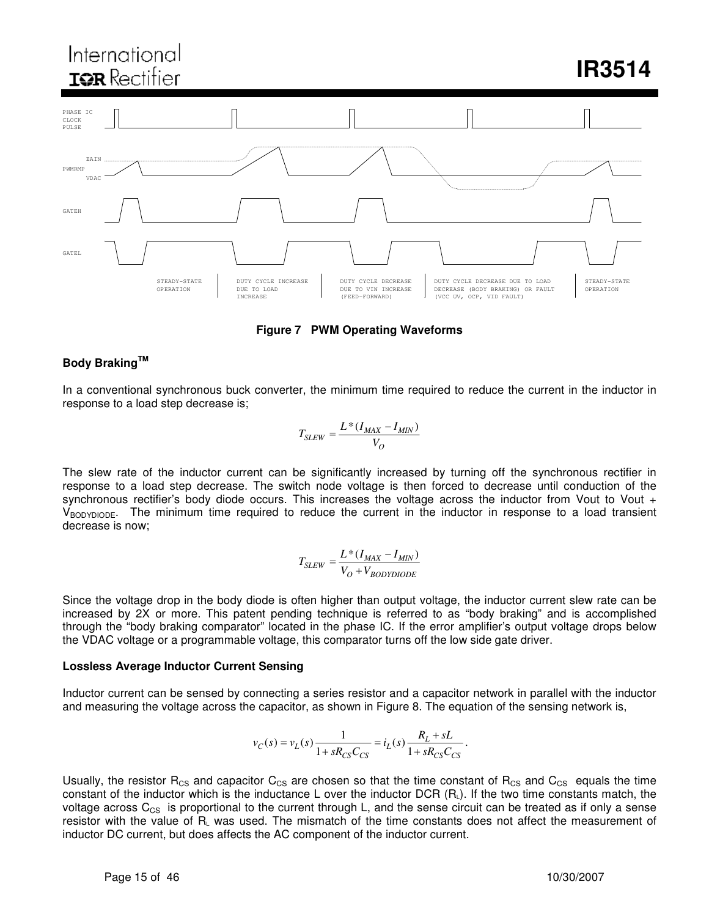# International **IOR** Rectifier

**IR3514**



**Figure 7 PWM Operating Waveforms**

### **Body Braking TM**

In a conventional synchronous buck converter, the minimum time required to reduce the current in the inductor in response to a load step decrease is;

$$
T_{SLEW} = \frac{L*(I_{MAX} - I_{MIN})}{V_O}
$$

The slew rate of the inductor current can be significantly increased by turning off the synchronous rectifier in response to a load step decrease. The switch node voltage is then forced to decrease until conduction of the synchronous rectifier's body diode occurs. This increases the voltage across the inductor from Vout to Vout +  $V_{\rm BODYDIODE}$ . The minimum time required to reduce the current in the inductor in response to a load transient decrease is now;

$$
T_{SLEW} = \frac{L*(I_{MAX} - I_{MIN})}{V_O + V_{BODYDIODE}}
$$

Since the voltage drop in the body diode is often higher than output voltage, the inductor current slew rate can be increased by 2X or more. This patent pending technique is referred to as "body braking" and is accomplished through the "body braking comparator" located in the phase IC. If the error amplifier's output voltage drops below the VDAC voltage or a programmable voltage, this comparator turns off the low side gate driver.

#### **Lossless Average Inductor Current Sensing**

Inductor current can be sensed by connecting a series resistor and a capacitor network in parallel with the inductor and measuring the voltage across the capacitor, as shown in Figure 8. The equation of the sensing network is,

$$
v_C(s) = v_L(s) \frac{1}{1 + sR_{CS}C_{CS}} = i_L(s) \frac{R_L + sL}{1 + sR_{CS}C_{CS}}.
$$

Usually, the resistor R<sub>CS</sub> and capacitor C<sub>CS</sub> are chosen so that the time constant of R<sub>CS</sub> and C<sub>CS</sub> equals the time constant of the inductor which is the inductance L over the inductor DCR  $(R<sub>L</sub>)$ . If the two time constants match, the voltage across  $C_{CS}$  is proportional to the current through L, and the sense circuit can be treated as if only a sense resistor with the value of R<sup>L</sup> was used. The mismatch of the time constants does not affect the measurement of inductor DC current, but does affects the AC component of the inductor current.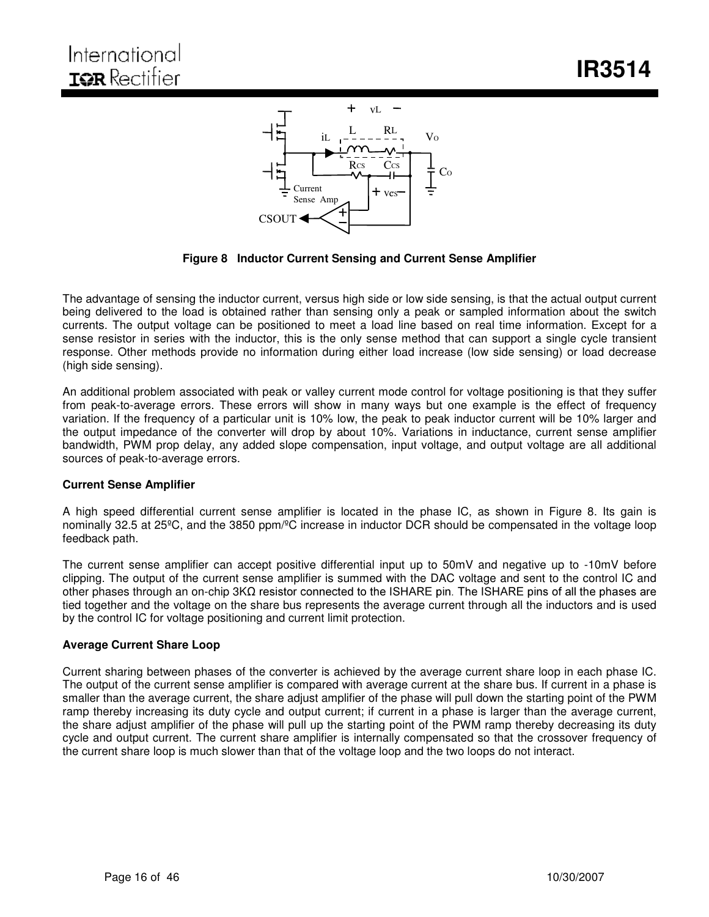

**Figure 8 Inductor Current Sensing and Current Sense Amplifier**

The advantage of sensing the inductor current, versus high side or low side sensing, is that the actual output current being delivered to the load is obtained rather than sensing only a peak or sampled information about the switch currents. The output voltage can be positioned to meet a load line based on real time information. Except for a sense resistor in series with the inductor, this is the only sense method that can support a single cycle transient response. Other methods provide no information during either load increase (low side sensing) or load decrease (high side sensing).

An additional problem associated with peak or valley current mode control for voltage positioning is that they suffer from peak-to-average errors. These errors will show in many ways but one example is the effect of frequency variation. If the frequency of a particular unit is 10% low, the peak to peak inductor current will be 10% larger and the output impedance of the converter will drop by about 10%. Variations in inductance, current sense amplifier bandwidth, PWM prop delay, any added slope compensation, input voltage, and output voltage are all additional sources of peak-to-average errors.

#### **Current Sense Amplifier**

A high speed differential current sense amplifier is located in the phase IC, as shown in Figure 8. Its gain is nominally 32.5 at 25ºC, and the 3850 ppm/ºC increase in inductor DCR should be compensated in the voltage loop feedback path.

The current sense amplifier can accept positive differential input up to 50mV and negative up to -10mV before clipping. The output of the current sense amplifier is summed with the DAC voltage and sent to the control IC and other phases through an on-chip  $3K\Omega$  resistor connected to the ISHARE pin. The ISHARE pins of all the phases are tied together and the voltage on the share bus represents the average current through all the inductors and is used by the control IC for voltage positioning and current limit protection.

#### **Average Current Share Loop**

Current sharing between phases of the converter is achieved by the average current share loop in each phase IC. The output of the current sense amplifier is compared with average current at the share bus. If current in a phase is smaller than the average current, the share adjust amplifier of the phase will pull down the starting point of the PWM ramp thereby increasing its duty cycle and output current; if current in a phase is larger than the average current, the share adjust amplifier of the phase will pull up the starting point of the PWM ramp thereby decreasing its duty cycle and output current. The current share amplifier is internally compensated so that the crossover frequency of the current share loop is much slower than that of the voltage loop and the two loops do not interact.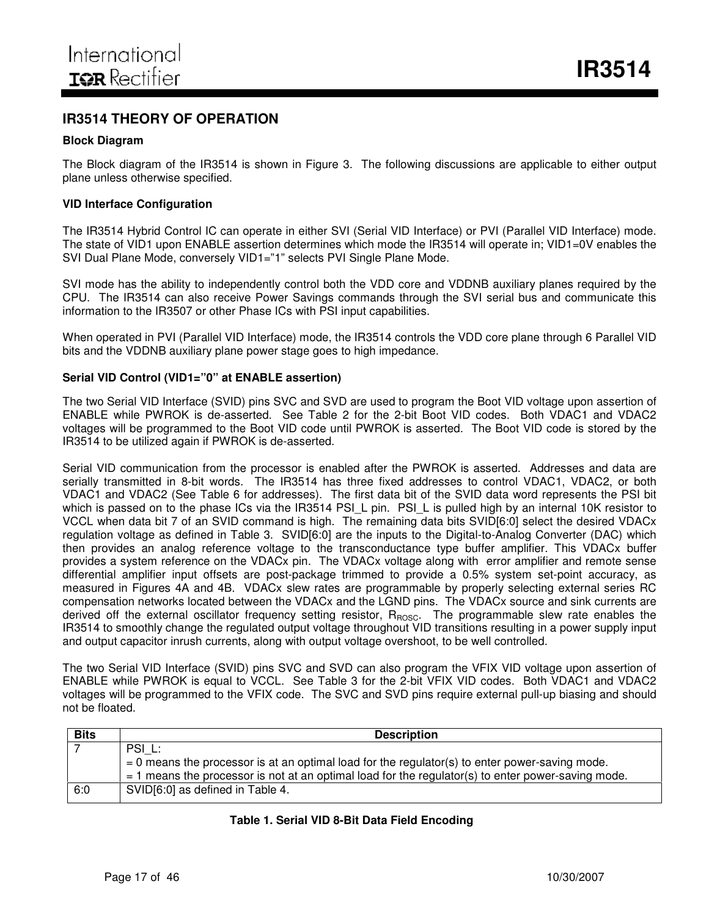## **IR3514 THEORY OF OPERATION**

#### **Block Diagram**

The Block diagram of the IR3514 is shown in Figure 3. The following discussions are applicable to either output plane unless otherwise specified.

#### **VID Interface Configuration**

The IR3514 Hybrid Control IC can operate in either SVI (Serial VID Interface) or PVI (Parallel VID Interface) mode. The state of VID1 upon ENABLE assertion determines which mode the IR3514 will operate in; VID1=0V enables the SVI Dual Plane Mode, conversely VID1="1" selects PVI Single Plane Mode.

SVI mode has the ability to independently control both the VDD core and VDDNB auxiliary planes required by the CPU. The IR3514 can also receive Power Savings commands through the SVI serial bus and communicate this information to the IR3507 or other Phase ICs with PSI input capabilities.

When operated in PVI (Parallel VID Interface) mode, the IR3514 controls the VDD core plane through 6 Parallel VID bits and the VDDNB auxiliary plane power stage goes to high impedance.

#### **Serial VID Control (VID1="0" at ENABLE assertion)**

The two Serial VID Interface (SVID) pins SVC and SVD are used to program the Boot VID voltage upon assertion of ENABLE while PWROK is de-asserted. See Table 2 for the 2-bit Boot VID codes. Both VDAC1 and VDAC2 voltages will be programmed to the Boot VID code until PWROK is asserted. The Boot VID code is stored by the IR3514 to be utilized again if PWROK is de-asserted.

Serial VID communication from the processor is enabled after the PWROK is asserted. Addresses and data are serially transmitted in 8-bit words. The IR3514 has three fixed addresses to control VDAC1, VDAC2, or both VDAC1 and VDAC2 (See Table 6 for addresses). The first data bit of the SVID data word represents the PSI bit which is passed on to the phase ICs via the IR3514 PSI\_L pin. PSI\_L is pulled high by an internal 10K resistor to VCCL when data bit 7 of an SVID command is high. The remaining data bits SVID[6:0] select the desired VDACx regulation voltage as defined in Table 3. SVID[6:0] are the inputs to the Digital-to-Analog Converter (DAC) which then provides an analog reference voltage to the transconductance type buffer amplifier. This VDACx buffer provides a system reference on the VDACx pin. The VDACx voltage along with error amplifier and remote sense differential amplifier input offsets are post-package trimmed to provide a 0.5% system set-point accuracy, as measured in Figures 4A and 4B. VDACx slew rates are programmable by properly selecting external series RC compensation networks located between the VDACx and the LGND pins. The VDACx source and sink currents are derived off the external oscillator frequency setting resistor, R<sub>ROSC</sub>. The programmable slew rate enables the IR3514 to smoothly change the regulated output voltage throughout VID transitions resulting in a power supply input and output capacitor inrush currents, along with output voltage overshoot, to be well controlled.

The two Serial VID Interface (SVID) pins SVC and SVD can also program the VFIX VID voltage upon assertion of ENABLE while PWROK is equal to VCCL. See Table 3 for the 2-bit VFIX VID codes. Both VDAC1 and VDAC2 voltages will be programmed to the VFIX code. The SVC and SVD pins require external pull-up biasing and should not be floated.

| <b>Bits</b> | <b>Description</b>                                                                                                                                                                                       |
|-------------|----------------------------------------------------------------------------------------------------------------------------------------------------------------------------------------------------------|
|             | PSI L:                                                                                                                                                                                                   |
|             | $= 0$ means the processor is at an optimal load for the regulator(s) to enter power-saving mode.<br>$=$ 1 means the processor is not at an optimal load for the regulator(s) to enter power-saving mode. |
| 6:0         | SVID[6:0] as defined in Table 4.                                                                                                                                                                         |

#### **Table 1. Serial VID 8-Bit Data Field Encoding**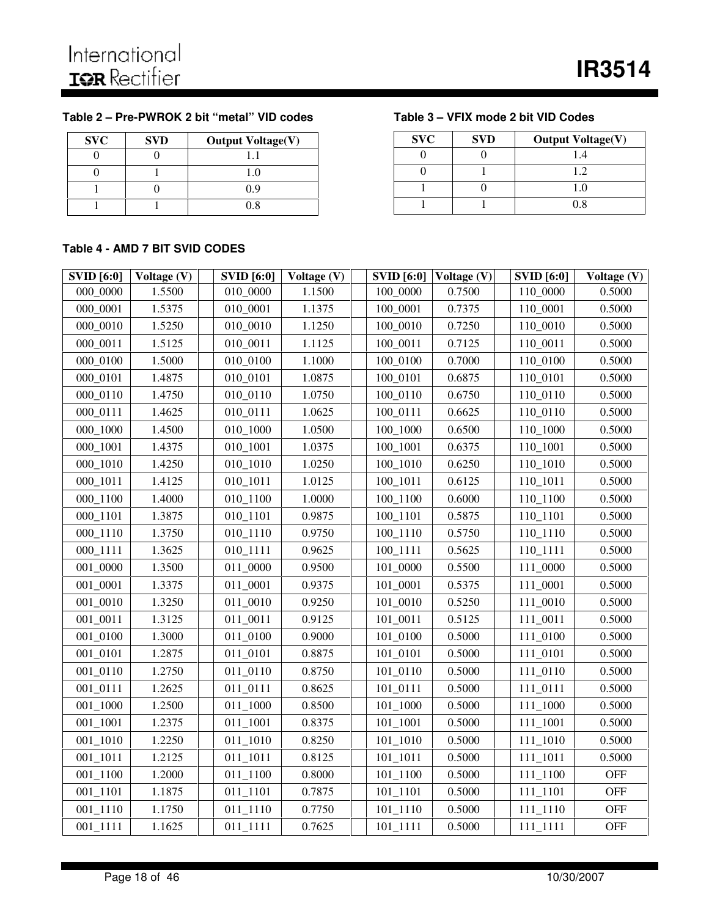## **Table 2 – Pre-PWROK 2 bit "metal" VID codes Table 3 – VFIX mode 2 bit VID Codes**

| <b>SVC</b> | <b>SVD</b> | <b>Output Voltage(V)</b> |
|------------|------------|--------------------------|
|            |            |                          |
|            |            | 1.0                      |
|            |            | 0.9                      |
|            |            | 0 8                      |

| <b>SVC</b> | <b>SVD</b> | <b>Output Voltage(V)</b> |
|------------|------------|--------------------------|
|            |            |                          |
|            |            | 1.2.                     |
|            |            | 1.0                      |
|            |            | በ ጸ                      |

#### **Table 4 - AMD 7 BIT SVID CODES**

| <b>SVID</b> [6:0] | Voltage (V) | <b>SVID</b> [6:0] | Voltage (V) | <b>SVID</b> [6:0] | Voltage (V) | <b>SVID</b> [6:0] | Voltage (V) |
|-------------------|-------------|-------------------|-------------|-------------------|-------------|-------------------|-------------|
| 000_0000          | 1.5500      | 010_0000          | 1.1500      | 100_0000          | 0.7500      | 110_0000          | 0.5000      |
| 000_0001          | 1.5375      | 010_0001          | 1.1375      | 100_0001          | 0.7375      | 110_0001          | 0.5000      |
| 000_0010          | 1.5250      | 010_0010          | 1.1250      | 100_0010          | 0.7250      | 110_0010          | 0.5000      |
| 000_0011          | 1.5125      | 010_0011          | 1.1125      | 100_0011          | 0.7125      | 110_0011          | 0.5000      |
| 000_0100          | 1.5000      | 010_0100          | 1.1000      | 100_0100          | 0.7000      | 110_0100          | 0.5000      |
| 000_0101          | 1.4875      | 010_0101          | 1.0875      | 100_0101          | 0.6875      | 110_0101          | 0.5000      |
| 000_0110          | 1.4750      | 010_0110          | 1.0750      | 100_0110          | 0.6750      | 110_0110          | 0.5000      |
| 000_0111          | 1.4625      | 010_0111          | 1.0625      | 100_0111          | 0.6625      | 110_0110          | 0.5000      |
| 000 1000          | 1.4500      | 010_1000          | 1.0500      | 100_1000          | 0.6500      | 110_1000          | 0.5000      |
| $000_1001$        | 1.4375      | 010_1001          | 1.0375      | 100_1001          | 0.6375      | 110_1001          | 0.5000      |
| 000_1010          | 1.4250      | 010_1010          | 1.0250      | 100_1010          | 0.6250      | 110_1010          | 0.5000      |
| 000_1011          | 1.4125      | 010_1011          | 1.0125      | 100_1011          | 0.6125      | 110_1011          | 0.5000      |
| 000_1100          | 1.4000      | 010_1100          | 1.0000      | 100_1100          | 0.6000      | 110_1100          | 0.5000      |
| 000_1101          | 1.3875      | 010_1101          | 0.9875      | 100_1101          | 0.5875      | 110_1101          | 0.5000      |
| 000_1110          | 1.3750      | 010_1110          | 0.9750      | 100_1110          | 0.5750      | 110_1110          | 0.5000      |
| 000_1111          | 1.3625      | 010_1111          | 0.9625      | 100_1111          | 0.5625      | 110_1111          | 0.5000      |
| 001_0000          | 1.3500      | 011_0000          | 0.9500      | 101_0000          | 0.5500      | 111_0000          | 0.5000      |
| 001_0001          | 1.3375      | 011_0001          | 0.9375      | 101_0001          | 0.5375      | 111_0001          | 0.5000      |
| 001_0010          | 1.3250      | 011_0010          | 0.9250      | 101_0010          | 0.5250      | 111_0010          | 0.5000      |
| 001_0011          | 1.3125      | 011_0011          | 0.9125      | 101_0011          | 0.5125      | 111_0011          | 0.5000      |
| 001_0100          | 1.3000      | 011_0100          | 0.9000      | 101_0100          | 0.5000      | 111_0100          | 0.5000      |
| 001_0101          | 1.2875      | 011_0101          | 0.8875      | 101_0101          | 0.5000      | 111_0101          | 0.5000      |
| 001_0110          | 1.2750      | 011_0110          | 0.8750      | 101_0110          | 0.5000      | 111_0110          | 0.5000      |
| 001_0111          | 1.2625      | 011_0111          | 0.8625      | 101_0111          | 0.5000      | 111_0111          | 0.5000      |
| 001_1000          | 1.2500      | 011_1000          | 0.8500      | 101_1000          | 0.5000      | 111_1000          | 0.5000      |
| $001\_1001$       | 1.2375      | 011_1001          | 0.8375      | $101\_1001$       | 0.5000      | $111\_1001$       | 0.5000      |
| 001_1010          | 1.2250      | 011_1010          | 0.8250      | $101_1010$        | 0.5000      | 111_1010          | 0.5000      |
| 001_1011          | 1.2125      | 011_1011          | 0.8125      | 101_1011          | 0.5000      | 111_1011          | 0.5000      |
| $001\_1100$       | 1.2000      | 011_1100          | 0.8000      | $101\_1100$       | 0.5000      | 111_1100          | <b>OFF</b>  |
| 001_1101          | 1.1875      | 011_1101          | 0.7875      | $101\_1101$       | 0.5000      | $111\_1101$       | <b>OFF</b>  |
| 001_1110          | 1.1750      | 011_1110          | 0.7750      | 101_1110          | 0.5000      | 111_1110          | <b>OFF</b>  |
| 001_1111          | 1.1625      | 011_1111          | 0.7625      | $101_1111$        | 0.5000      | 111_1111          | <b>OFF</b>  |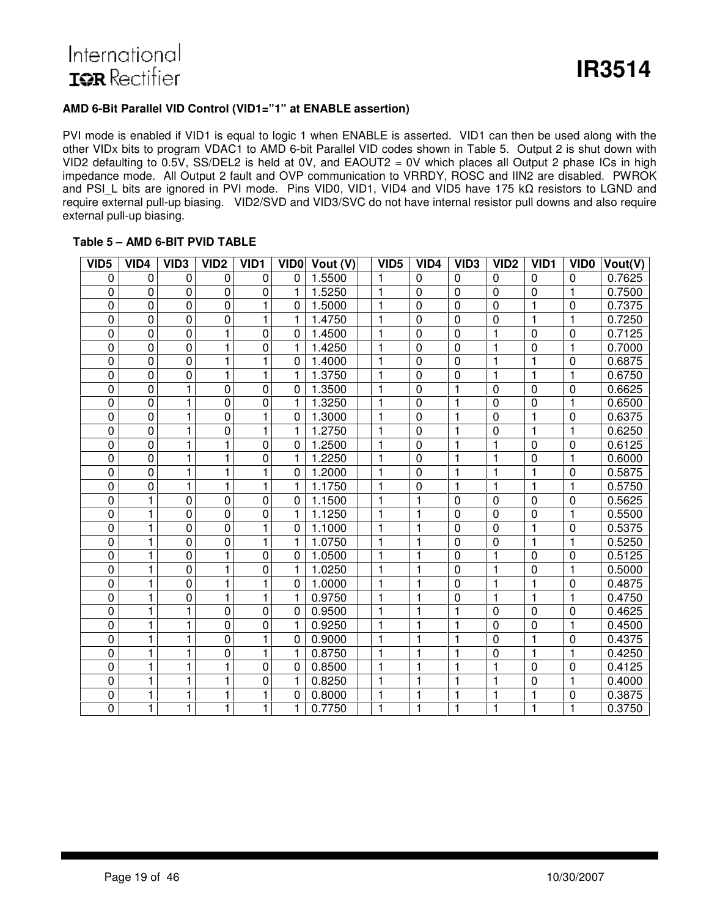### **AMD 6-Bit Parallel VID Control (VID1=" 1" at ENABLE assertion)**

PVI mode is enabled if VID1 is equal to logic 1 when ENABLE is asserted. VID1 can then be used along with the other VIDx bits to program VDAC1 to AMD 6-bit Parallel VID codes shown in Table 5. Output 2 is shut down with VID2 defaulting to 0.5V, SS/DEL2 is held at 0V, and EAOUT2 = 0V which places all Output 2 phase ICs in high impedance mode. All Output 2 fault and OVP communication to VRRDY, ROSC and IIN2 are disabled. PWROK and PSI L bits are ignored in PVI mode. Pins VID0, VID1, VID4 and VID5 have 175 kQ resistors to LGND and require external pull-up biasing. VID2/SVD and VID3/SVC do not have internal resistor pull downs and also require external pull-up biasing.

#### **Table 5 – AMD 6-BIT PVID TABLE**

| VID <sub>5</sub> | VID4           | VID <sub>3</sub> | VID <sub>2</sub> | VID <sub>1</sub> | <b>VIDO</b>  | Vout (V) | VID <sub>5</sub> | VID4           | VID <sub>3</sub> | VID <sub>2</sub> | VID <sub>1</sub> | VID <sub>0</sub> | Vout(V) |
|------------------|----------------|------------------|------------------|------------------|--------------|----------|------------------|----------------|------------------|------------------|------------------|------------------|---------|
| 0                | 0              | 0                | 0                | 0                | $\Omega$     | 1.5500   | 1                | $\mathbf 0$    | $\mathbf 0$      | $\mathbf 0$      | $\mathbf 0$      | $\mathbf 0$      | 0.7625  |
| 0                | $\mathbf 0$    | $\mathbf 0$      | $\mathbf 0$      | 0                | 1            | 1.5250   | $\mathbf{1}$     | $\mathbf 0$    | $\mathbf 0$      | 0                | $\mathbf 0$      | $\mathbf{1}$     | 0.7500  |
| 0                | $\mathbf 0$    | $\pmb{0}$        | $\mathbf 0$      | 1                | 0            | 1.5000   | $\mathbf{1}$     | $\mathbf 0$    | 0                | 0                | $\mathbf{1}$     | $\mathbf 0$      | 0.7375  |
| 0                | $\mathbf 0$    | $\mathbf 0$      | 0                | 1                | 1            | 1.4750   | $\overline{1}$   | $\mathbf 0$    | 0                | 0                | $\mathbf{1}$     | $\mathbf{1}$     | 0.7250  |
| 0                | $\mathbf 0$    | $\mathbf 0$      | 1                | $\mathbf 0$      | 0            | 1.4500   | $\mathbf{1}$     | $\mathbf 0$    | 0                |                  | $\mathbf 0$      | $\mathbf 0$      | 0.7125  |
| 0                | $\mathbf 0$    | $\mathbf 0$      | 1                | $\mathbf 0$      | $\mathbf{1}$ | 1.4250   |                  | $\mathbf 0$    | $\overline{0}$   |                  | $\mathbf 0$      | $\mathbf{1}$     | 0.7000  |
| 0                | $\mathbf 0$    | $\mathbf 0$      | 1                | 1                | $\mathbf 0$  | 1.4000   |                  | $\mathbf 0$    | 0                |                  | $\mathbf{1}$     | $\mathbf 0$      | 0.6875  |
| 0                | $\mathbf 0$    | $\mathbf 0$      | 1                | $\mathbf{1}$     | 1            | 1.3750   |                  | $\mathbf 0$    | 0                | 1                | $\mathbf{1}$     | $\mathbf{1}$     | 0.6750  |
| 0                | $\overline{0}$ | 1                | 0                | $\mathbf 0$      | 0            | 1.3500   | 1                | $\mathbf 0$    |                  | $\mathbf 0$      | $\mathbf 0$      | $\overline{0}$   | 0.6625  |
| 0                | $\overline{0}$ | 1                | 0                | 0                | 1            | 1.3250   | 1                | $\mathbf 0$    |                  | 0                | $\mathbf 0$      | $\mathbf{1}$     | 0.6500  |
| 0                | $\mathbf 0$    | 1                | 0                | 1                | 0            | 1.3000   | 1                | $\overline{0}$ |                  | 0                | $\mathbf{1}$     | $\mathbf 0$      | 0.6375  |
| 0                | $\overline{0}$ | 1                | 0                | $\mathbf{1}$     | 1            | 1.2750   | $\mathbf{1}$     | $\mathbf 0$    | 1                | 0                | $\mathbf{1}$     | $\mathbf{1}$     | 0.6250  |
| 0                | $\overline{0}$ | 1                | 1                | $\mathbf 0$      | 0            | 1.2500   | $\mathbf{1}$     | $\mathbf 0$    | 1                | 1                | $\mathbf 0$      | $\overline{0}$   | 0.6125  |
| 0                | $\overline{0}$ | 1                | 1                | 0                | 1            | 1.2250   | $\mathbf{1}$     | $\mathbf 0$    | 1                | $\mathbf{1}$     | $\mathbf 0$      | $\mathbf{1}$     | 0.6000  |
| 0                | $\mathbf 0$    | 1                | 1                | 1                | 0            | 1.2000   | $\mathbf{1}$     | $\mathbf 0$    | 1                | $\mathbf{1}$     | $\mathbf{1}$     | $\mathbf 0$      | 0.5875  |
| 0                | $\mathbf 0$    | 1                | 1                | 1                | 1            | 1.1750   | $\mathbf{1}$     | $\mathbf 0$    | 1                | $\mathbf{1}$     | $\mathbf{1}$     | $\mathbf{1}$     | 0.5750  |
| 0                | 1              | $\mathbf 0$      | $\mathbf 0$      | $\pmb{0}$        | $\mathbf 0$  | 1.1500   |                  | 1              | $\mathbf 0$      | $\mathbf 0$      | $\mathbf 0$      | $\mathbf 0$      | 0.5625  |
| 0                | 1              | 0                | 0                | 0                | $\mathbf{1}$ | 1.1250   |                  |                | 0                | 0                | 0                | $\mathbf{1}$     | 0.5500  |
| 0                | 1              | $\mathbf 0$      | $\mathbf 0$      | 1                | 0            | 1.1000   |                  |                | 0                | 0                | $\mathbf{1}$     | $\mathbf 0$      | 0.5375  |
| 0                | 1              | 0                | 0                | 1                | $\mathbf{1}$ | 1.0750   |                  | 1              | 0                | 0                | $\mathbf{1}$     | $\mathbf{1}$     | 0.5250  |
| 0                | 1              | $\mathbf 0$      | 1                | $\mathbf 0$      | 0            | 1.0500   |                  | 1              | $\mathbf 0$      |                  | $\mathbf 0$      | $\mathbf 0$      | 0.5125  |
| 0                | 1              | 0                | 1                | 0                | 1            | 1.0250   |                  | $\mathbf{1}$   | 0                | $\mathbf{1}$     | $\mathbf 0$      | $\mathbf{1}$     | 0.5000  |
| 0                | 1              | $\mathbf 0$      | 1                | 1                | 0            | 1.0000   | 1                | $\mathbf 1$    | $\mathbf{0}$     | 1                | $\mathbf{1}$     | 0                | 0.4875  |
| 0                | 1              | $\mathbf 0$      | 1                | 1                | 1            | 0.9750   | $\mathbf{1}$     | 1              | 0                | $\mathbf{1}$     | $\mathbf{1}$     | $\mathbf{1}$     | 0.4750  |
| 0                | 1              | 1                | $\mathbf 0$      | $\pmb{0}$        | 0            | 0.9500   | $\mathbf{1}$     | $\mathbf{1}$   | 1                | 0                | $\mathbf 0$      | $\mathbf 0$      | 0.4625  |
| 0                | $\mathbf{1}$   | $\mathbf{1}$     | 0                | $\mathbf 0$      | $\mathbf{1}$ | 0.9250   | $\mathbf{1}$     | $\mathbf{1}$   | $\mathbf{1}$     | 0                | $\mathbf 0$      | $\mathbf{1}$     | 0.4500  |
| 0                | 1              | $\mathbf{1}$     | 0                | 1                | 0            | 0.9000   | $\overline{1}$   | $\mathbf{1}$   | 1                | 0                | $\mathbf{1}$     | $\mathbf 0$      | 0.4375  |
| 0                | $\mathbf{1}$   | $\mathbf{1}$     | 0                | 1                | $\mathbf{1}$ | 0.8750   | $\mathbf{1}$     | $\mathbf{1}$   | 1                | 0                | $\mathbf{1}$     | $\mathbf{1}$     | 0.4250  |
| 0                | $\mathbf{1}$   | $\mathbf{1}$     | 1                | $\pmb{0}$        | 0            | 0.8500   | 1                | $\mathbf{1}$   |                  | 1                | $\mathbf 0$      | $\mathbf 0$      | 0.4125  |
| 0                | 1              | $\mathbf{1}$     | 1                | 0                | $\mathbf{1}$ | 0.8250   |                  | $\mathbf{1}$   |                  | 1                | $\mathbf 0$      | $\mathbf{1}$     | 0.4000  |
| 0                | 1              | 1                | 1                | 1                | 0            | 0.8000   |                  | 1              |                  |                  | 1                | $\mathbf 0$      | 0.3875  |
| 0                | 1              | $\mathbf{1}$     | 1                | 1                | $\mathbf{1}$ | 0.7750   | 1                | 1              |                  | 1                | 1                | $\mathbf{1}$     | 0.3750  |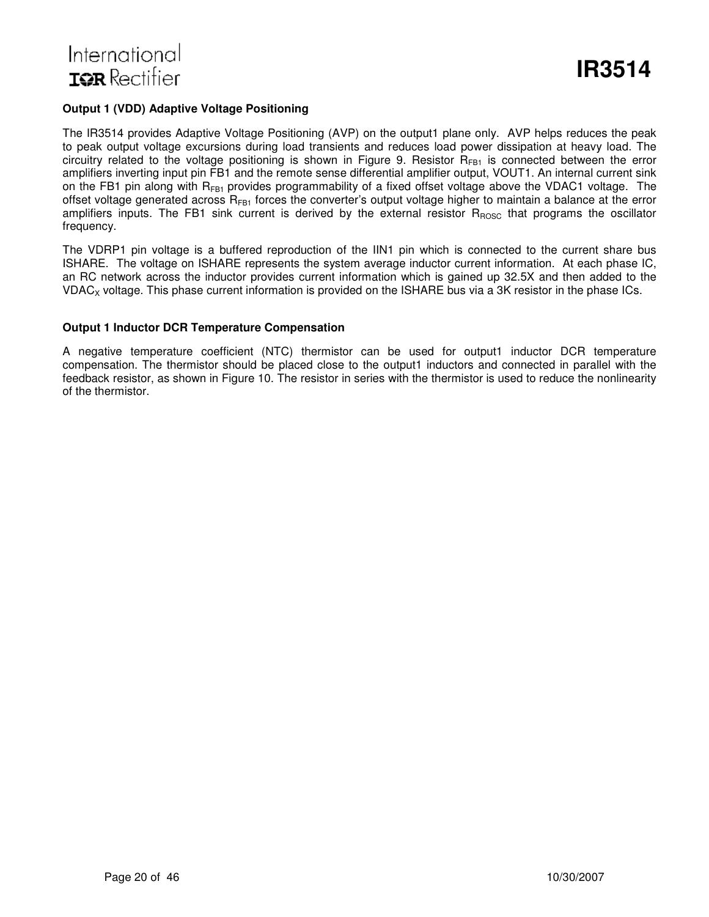#### **Output 1 (VDD) Adaptive Voltage Positioning**

The IR3514 provides Adaptive Voltage Positioning (AVP) on the output1 plane only. AVP helps reduces the peak to peak output voltage excursions during load transients and reduces load power dissipation at heavy load. The circuitry related to the voltage positioning is shown in Figure 9. Resistor  $R_{FB1}$  is connected between the error amplifiers inverting input pin FB1 and the remote sense differential amplifier output, VOUT1. An internal current sink on the FB1 pin along with  $R_{FB1}$  provides programmability of a fixed offset voltage above the VDAC1 voltage. The offset voltage generated across  $R_{FB1}$  forces the converter's output voltage higher to maintain a balance at the error amplifiers inputs. The FB1 sink current is derived by the external resistor  $R_{ROSC}$  that programs the oscillator frequency.

The VDRP1 pin voltage is a buffered reproduction of the IIN1 pin which is connected to the current share bus ISHARE. The voltage on ISHARE represents the system average inductor current information. At each phase IC, an RC network across the inductor provides current information which is gained up 32.5X and then added to the VDAC<sub>X</sub> voltage. This phase current information is provided on the ISHARE bus via a 3K resistor in the phase ICs.

#### **Output 1 Inductor DCR Temperature Compensation**

A negative temperature coefficient (NTC) thermistor can be used for output1 inductor DCR temperature compensation. The thermistor should be placed close to the output1 inductors and connected in parallel with the feedback resistor, as shown in Figure 10. The resistor in series with the thermistor is used to reduce the nonlinearity of the thermistor.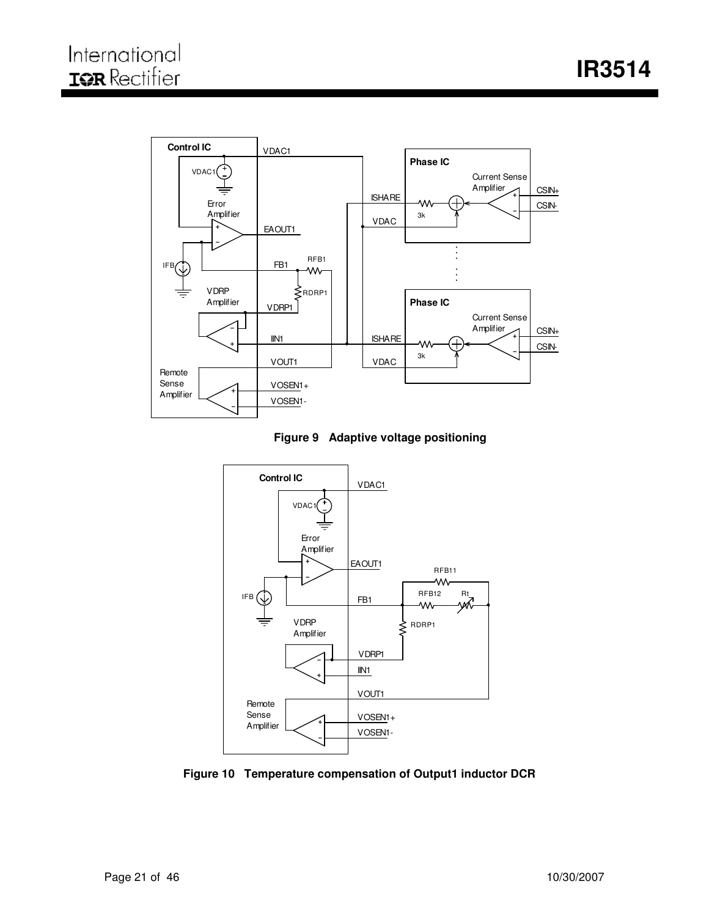





**Figure 10 Temperature compensation of Output1 inductor DCR**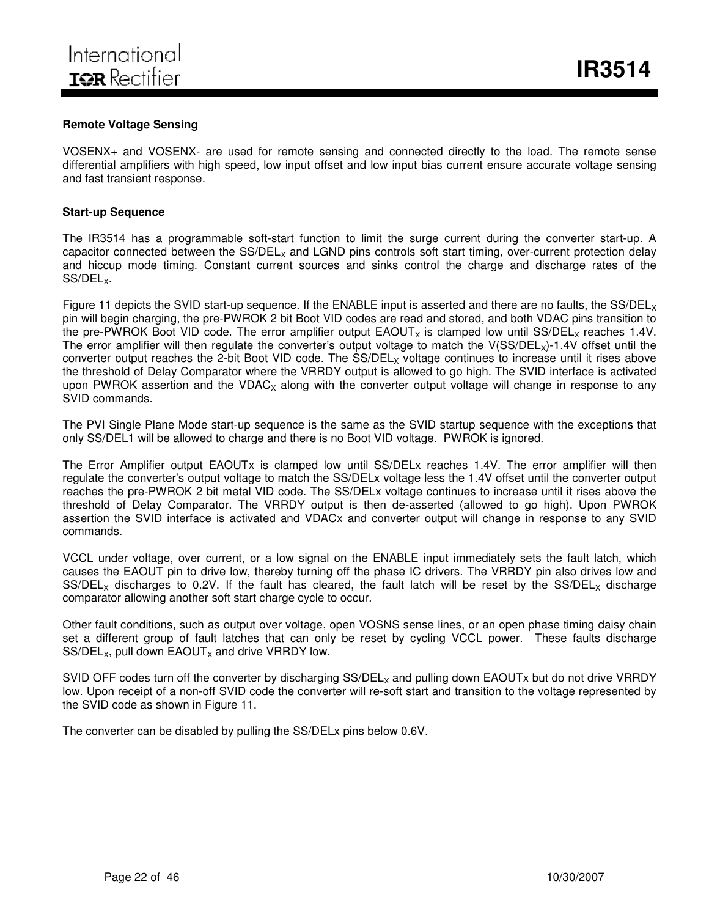#### **Remote Voltage Sensing**

VOSENX+ and VOSENX- are used for remote sensing and connected directly to the load. The remote sense differential amplifiers with high speed, low input offset and low input bias current ensure accurate voltage sensing and fast transient response.

#### **Start-up Sequence**

The IR3514 has a programmable soft-start function to limit the surge current during the converter start-up. A capacitor connected between the  $SS/DEL_X$  and LGND pins controls soft start timing, over-current protection delay and hiccup mode timing. Constant current sources and sinks control the charge and discharge rates of the SS/DEL<sub>x</sub>.

Figure 11 depicts the SVID start-up sequence. If the ENABLE input is asserted and there are no faults, the  $SS/DEL<sub>x</sub>$ pin will begin charging, the pre-PWROK 2 bit Boot VID codes are read and stored, and both VDAC pins transition to the pre-PWROK Boot VID code. The error amplifier output  $EACOUT<sub>x</sub>$  is clamped low until SS/DEL<sub>X</sub> reaches 1.4V. The error amplifier will then regulate the converter's output voltage to match the V(SS/DEL<sub>x</sub>)-1.4V offset until the converter output reaches the 2-bit Boot VID code. The SS/DEL<sub>x</sub> voltage continues to increase until it rises above the threshold of Delay Comparator where the VRRDY output is allowed to go high. The SVID interface is activated upon PWROK assertion and the VDAC<sub>x</sub> along with the converter output voltage will change in response to any SVID commands.

The PVI Single Plane Mode start-up sequence is the same as the SVID startup sequence with the exceptions that only SS/DEL1 will be allowed to charge and there is no Boot VID voltage. PWROK is ignored.

The Error Amplifier output EAOUTx is clamped low until SS/DELx reaches 1.4V. The error amplifier will then regulate the converter's output voltage to match the SS/DELx voltage less the 1.4V offset until the converter output reaches the pre-PWROK 2 bit metal VID code. The SS/DELx voltage continues to increase until it rises above the threshold of Delay Comparator. The VRRDY output is then de-asserted (allowed to go high). Upon PWROK assertion the SVID interface is activated and VDACx and converter output will change in response to any SVID commands.

VCCL under voltage, over current, or a low signal on the ENABLE input immediately sets the fault latch, which causes the EAOUT pin to drive low, thereby turning off the phase IC drivers. The VRRDY pin also drives low and SS/DEL<sub>X</sub> discharges to 0.2V. If the fault has cleared, the fault latch will be reset by the SS/DEL<sub>X</sub> discharge comparator allowing another soft start charge cycle to occur.

Other fault conditions, such as output over voltage, open VOSNS sense lines, or an open phase timing daisy chain set a different group of fault latches that can only be reset by cycling VCCL power. These faults discharge  $SS/DEL_x$ , pull down  $EAOUT_x$  and drive VRRDY low.

SVID OFF codes turn off the converter by discharging SS/DEL<sub>x</sub> and pulling down EAOUTx but do not drive VRRDY low. Upon receipt of a non-off SVID code the converter will re-soft start and transition to the voltage represented by the SVID code as shown in Figure 11.

The converter can be disabled by pulling the SS/DELx pins below 0.6V.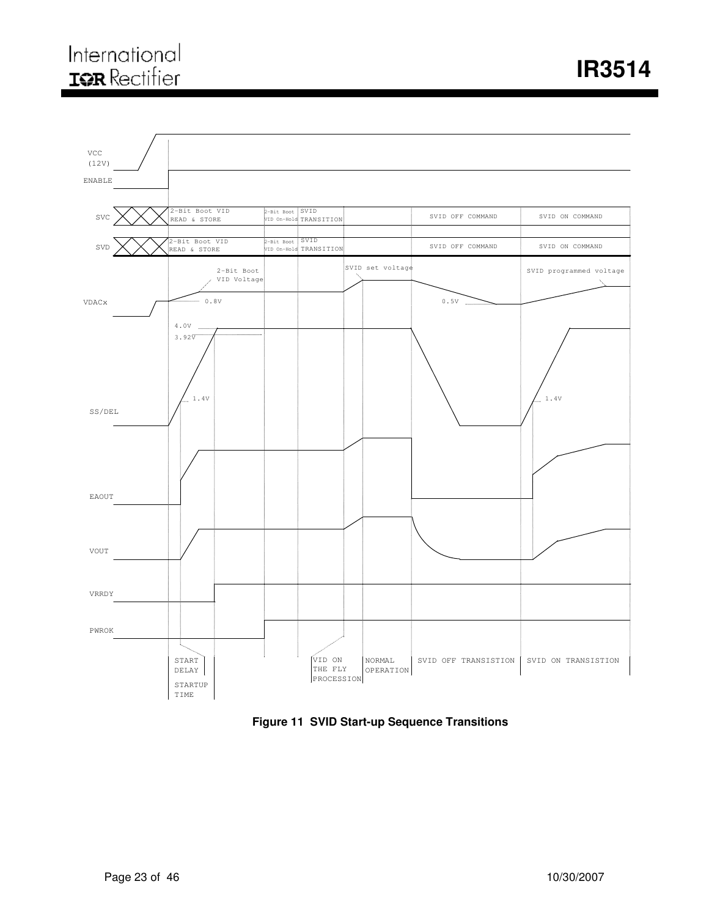

**Figure 11 SVID Start-up Sequence Transitions**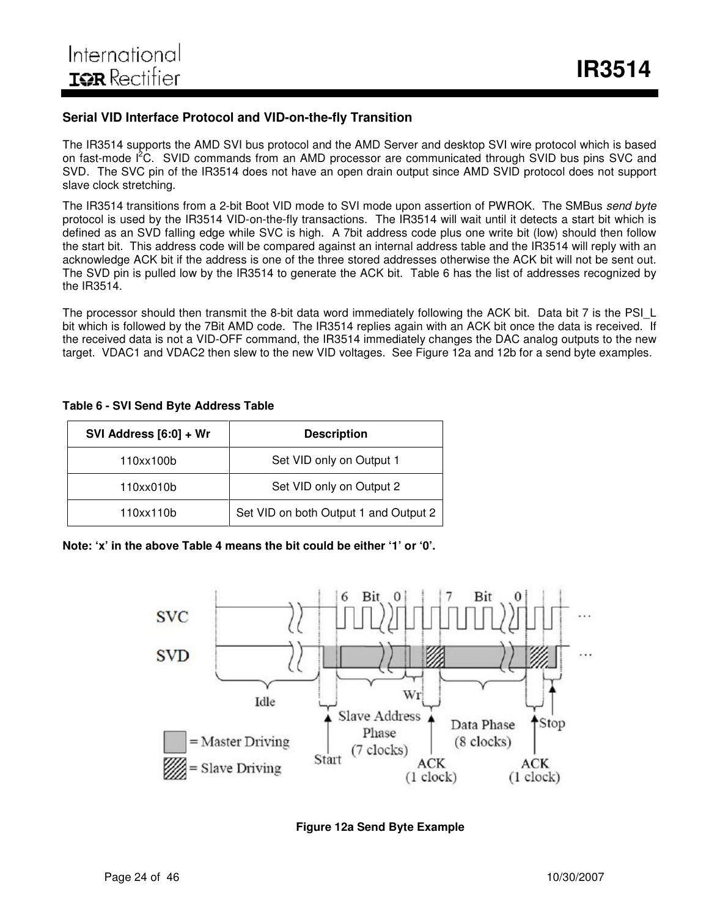#### **Serial VID Interface Protocol and VID-on-the-fly Transition**

The IR3514 supports the AMD SVI bus protocol and the AMD Server and desktop SVI wire protocol which is based on fast-mode I<sup>2</sup>C. SVID commands from an AMD processor are communicated through SVID bus pins SVC and SVD. The SVC pin of the IR3514 does not have an open drain output since AMD SVID protocol does not support slave clock stretching.

The IR3514 transitions from a 2-bit Boot VID mode to SVI mode upon assertion of PWROK. The SMBus *send byte* protocol is used by the IR3514 VID-on-the-fly transactions. The IR3514 will wait until it detects a start bit which is defined as an SVD falling edge while SVC is high. A 7bit address code plus one write bit (low) should then follow the start bit. This address code will be compared against an internal address table and the IR3514 will reply with an acknowledge ACK bit if the address is one of the three stored addresses otherwise the ACK bit will not be sent out. The SVD pin is pulled low by the IR3514 to generate the ACK bit. Table 6 has the list of addresses recognized by the IR3514.

The processor should then transmit the 8-bit data word immediately following the ACK bit. Data bit 7 is the PSIL bit which is followed by the 7Bit AMD code. The IR3514 replies again with an ACK bit once the data is received. If the received data is not a VID-OFF command, the IR3514 immediately changes the DAC analog outputs to the new target. VDAC1 and VDAC2 then slew to the new VID voltages. See Figure 12a and 12b for a send byte examples.

#### **Table 6 - SVI Send Byte Address Table**

| SVI Address [6:0] + Wr | <b>Description</b>                    |  |  |  |  |  |
|------------------------|---------------------------------------|--|--|--|--|--|
| 110xx100b              | Set VID only on Output 1              |  |  |  |  |  |
| 110xx010b              | Set VID only on Output 2              |  |  |  |  |  |
| 110xx110b              | Set VID on both Output 1 and Output 2 |  |  |  |  |  |

**Note: 'x' in the above Table 4 means the bit could be either '1' or '0'.**



#### **Figure 12a Send Byte Example**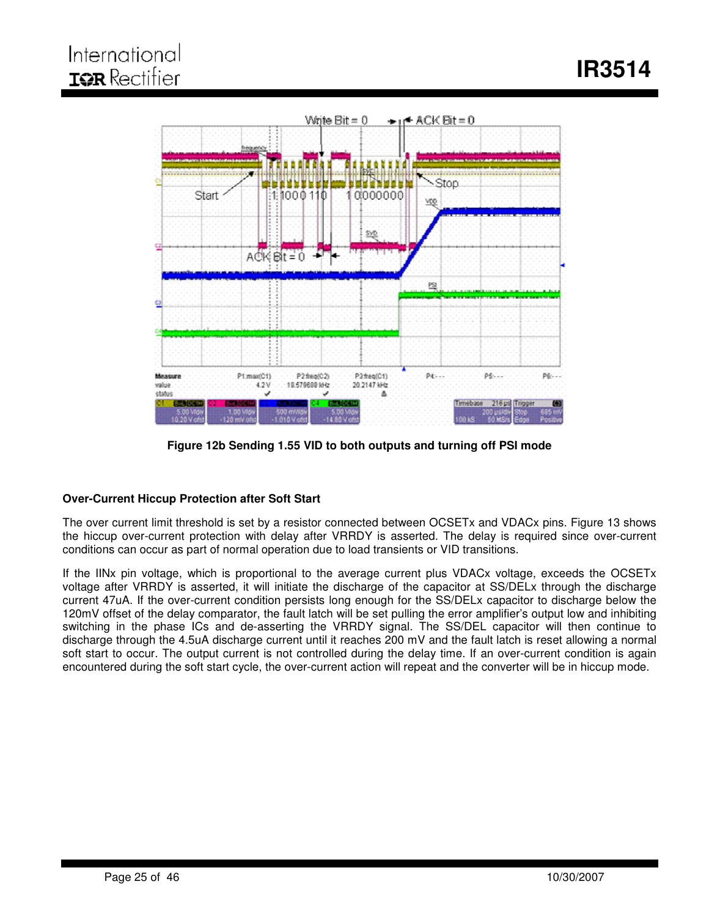

**Figure 12b Sending 1.55 VID to both outputs and turning off PSI mode**

#### **Over-Current Hiccup Protection after Soft Start**

The over current limit threshold is set by a resistor connected between OCSETx and VDACx pins. Figure 13 shows the hiccup over-current protection with delay after VRRDY is asserted. The delay is required since over-current conditions can occur as part of normal operation due to load transients or VID transitions.

If the IINx pin voltage, which is proportional to the average current plus VDACx voltage, exceeds the OCSETx voltage after VRRDY is asserted, it will initiate the discharge of the capacitor at SS/DELx through the discharge current 47uA. If the over-current condition persists long enough for the SS/DELx capacitor to discharge below the 120mV offset of the delay comparator, the fault latch will be set pulling the error amplifier's output low and inhibiting switching in the phase ICs and de-asserting the VRRDY signal. The SS/DEL capacitor will then continue to discharge through the 4.5uA discharge current until it reaches 200 mV and the fault latch is reset allowing a normal soft start to occur. The output current is not controlled during the delay time. If an over-current condition is again encountered during the soft start cycle, the over-current action will repeat and the converter will be in hiccup mode.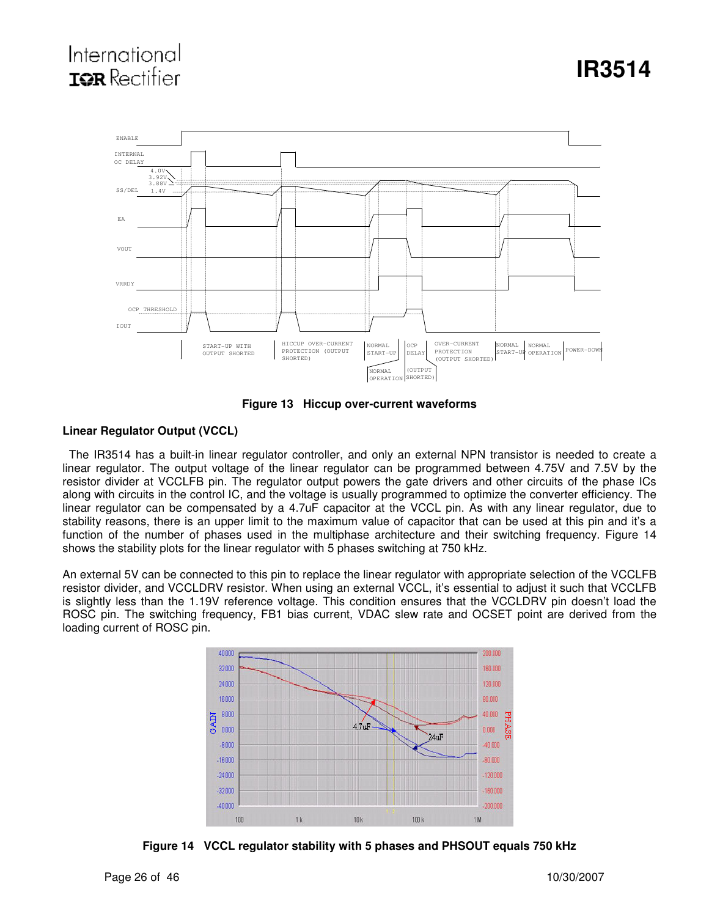# International **TOR** Rectifier



**Figure 13 Hiccup over-current waveforms**

#### **Linear Regulator Output (VCCL)**

The IR3514 has a built-in linear regulator controller, and only an external NPN transistor is needed to create a linear regulator. The output voltage of the linear regulator can be programmed between 4.75V and 7.5V by the resistor divider at VCCLFB pin. The regulator output powers the gate drivers and other circuits of the phase ICs along with circuits in the control IC, and the voltage is usually programmed to optimize the converter efficiency. The linear regulator can be compensated by a 4.7uF capacitor at the VCCL pin. As with any linear regulator, due to stability reasons, there is an upper limit to the maximum value of capacitor that can be used at this pin and it's a function of the number of phases used in the multiphase architecture and their switching frequency. Figure 14 shows the stability plots for the linear regulator with 5 phases switching at 750 kHz.

An external 5V can be connected to this pin to replace the linear regulator with appropriate selection of the VCCLFB resistor divider, and VCCLDRV resistor. When using an external VCCL, it's essential to adjust it such that VCCLFB is slightly less than the 1.19V reference voltage. This condition ensures that the VCCLDRV pin doesn't load the ROSC pin. The switching frequency, FB1 bias current, VDAC slew rate and OCSET point are derived from the loading current of ROSC pin.



**Figure 14 VCCL regulator stability with 5 phases and PHSOUT equals 750 kHz**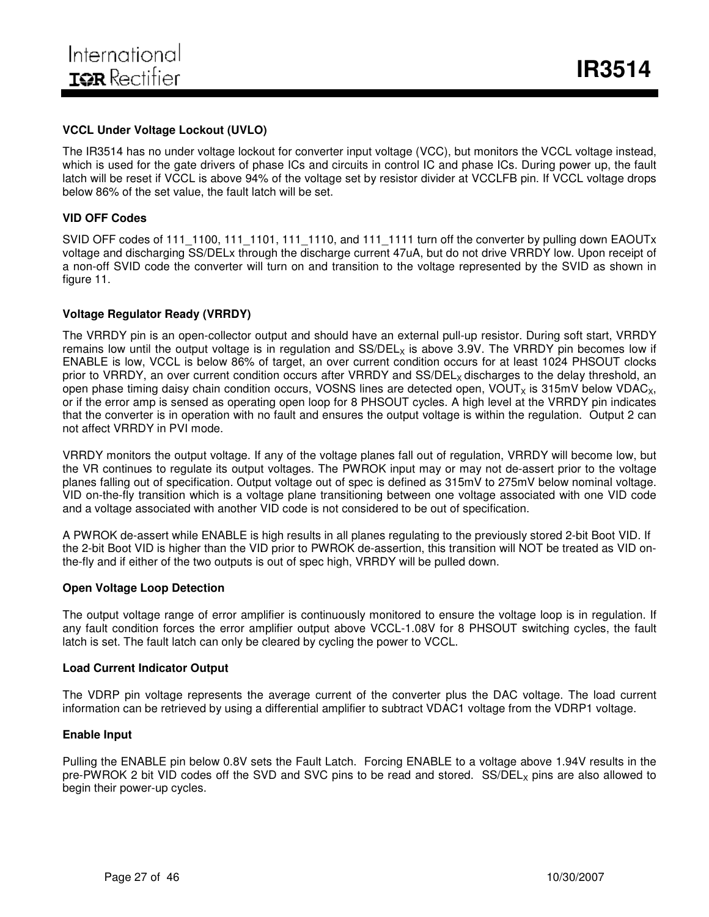#### **VCCL Under Voltage Lockout (UVLO)**

The IR3514 has no under voltage lockout for converter input voltage (VCC), but monitors the VCCL voltage instead, which is used for the gate drivers of phase ICs and circuits in control IC and phase ICs. During power up, the fault latch will be reset if VCCL is above 94% of the voltage set by resistor divider at VCCLFB pin. If VCCL voltage drops below 86% of the set value, the fault latch will be set.

#### **VID OFF Codes**

SVID OFF codes of 111\_1100, 111\_1101, 111\_1110, and 111\_1111 turn off the converter by pulling down EAOUTx voltage and discharging SS/DELx through the discharge current 47uA, but do not drive VRRDY low. Upon receipt of a non-off SVID code the converter will turn on and transition to the voltage represented by the SVID as shown in figure 11.

#### **Voltage Regulator Ready (VRRDY)**

The VRRDY pin is an open-collector output and should have an external pull-up resistor. During soft start, VRRDY remains low until the output voltage is in regulation and  $SS/DEL_x$  is above 3.9V. The VRRDY pin becomes low if ENABLE is low, VCCL is below 86% of target, an over current condition occurs for at least 1024 PHSOUT clocks prior to VRRDY, an over current condition occurs after VRRDY and SS/DEL<sub>x</sub> discharges to the delay threshold, an open phase timing daisy chain condition occurs, VOSNS lines are detected open, VOUT<sub>x</sub> is 315mV below VDAC<sub>x</sub>, or if the error amp is sensed as operating open loop for 8 PHSOUT cycles. A high level at the VRRDY pin indicates that the converter is in operation with no fault and ensures the output voltage is within the regulation. Output 2 can not affect VRRDY in PVI mode.

VRRDY monitors the output voltage. If any of the voltage planes fall out of regulation, VRRDY will become low, but the VR continues to regulate its output voltages. The PWROK input may or may not de-assert prior to the voltage planes falling out of specification. Output voltage out of spec is defined as 315mV to 275mV below nominal voltage. VID on-the-fly transition which is a voltage plane transitioning between one voltage associated with one VID code and a voltage associated with another VID code is not considered to be out of specification.

A PWROK de-assert while ENABLE is high results in all planes regulating to the previously stored 2-bit Boot VID. If the 2-bit Boot VID is higher than the VID prior to PWROK de-assertion, this transition will NOT be treated as VID onthe-fly and if either of the two outputs is out of spec high, VRRDY will be pulled down.

#### **Open Voltage Loop Detection**

The output voltage range of error amplifier is continuously monitored to ensure the voltage loop is in regulation. If any fault condition forces the error amplifier output above VCCL-1.08V for 8 PHSOUT switching cycles, the fault latch is set. The fault latch can only be cleared by cycling the power to VCCL.

#### **Load Current Indicator Output**

The VDRP pin voltage represents the average current of the converter plus the DAC voltage. The load current information can be retrieved by using a differential amplifier to subtract VDAC1 voltage from the VDRP1 voltage.

#### **Enable Input**

Pulling the ENABLE pin below 0.8V sets the Fault Latch. Forcing ENABLE to a voltage above 1.94V results in the pre-PWROK 2 bit VID codes off the SVD and SVC pins to be read and stored. SS/DEL<sub>X</sub> pins are also allowed to begin their power-up cycles.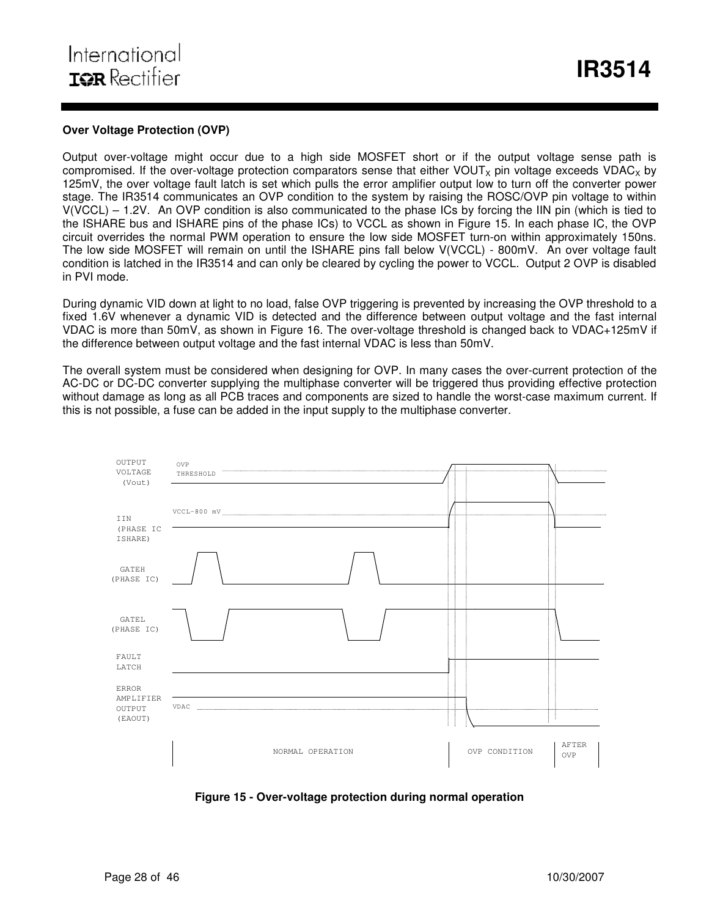#### **Over Voltage Protection (OVP)**

Output over-voltage might occur due to a high side MOSFET short or if the output voltage sense path is compromised. If the over-voltage protection comparators sense that either VOUT<sub>x</sub> pin voltage exceeds VDAC<sub>x</sub> by 125mV, the over voltage fault latch is set which pulls the error amplifier output low to turn off the converter power stage. The IR3514 communicates an OVP condition to the system by raising the ROSC/OVP pin voltage to within V(VCCL) – 1.2V. An OVP condition is also communicated to the phase ICs by forcing the IIN pin (which is tied to the ISHARE bus and ISHARE pins of the phase ICs) to VCCL as shown in Figure 15. In each phase IC, the OVP circuit overrides the normal PWM operation to ensure the low side MOSFET turn-on within approximately 150ns. The low side MOSFET will remain on until the ISHARE pins fall below V(VCCL) - 800mV. An over voltage fault condition is latched in the IR3514 and can only be cleared by cycling the power to VCCL. Output 2 OVP is disabled in PVI mode.

During dynamic VID down at light to no load, false OVP triggering is prevented by increasing the OVP threshold to a fixed 1.6V whenever a dynamic VID is detected and the difference between output voltage and the fast internal VDAC is more than 50mV, as shown in Figure 16. The over-voltage threshold is changed back to VDAC+125mV if the difference between output voltage and the fast internal VDAC is less than 50mV.

The overall system must be considered when designing for OVP. In many cases the over-current protection of the AC-DC or DC-DC converter supplying the multiphase converter will be triggered thus providing effective protection without damage as long as all PCB traces and components are sized to handle the worst-case maximum current. If this is not possible, a fuse can be added in the input supply to the multiphase converter.



**Figure 15 - Over-voltage protection during normal operation**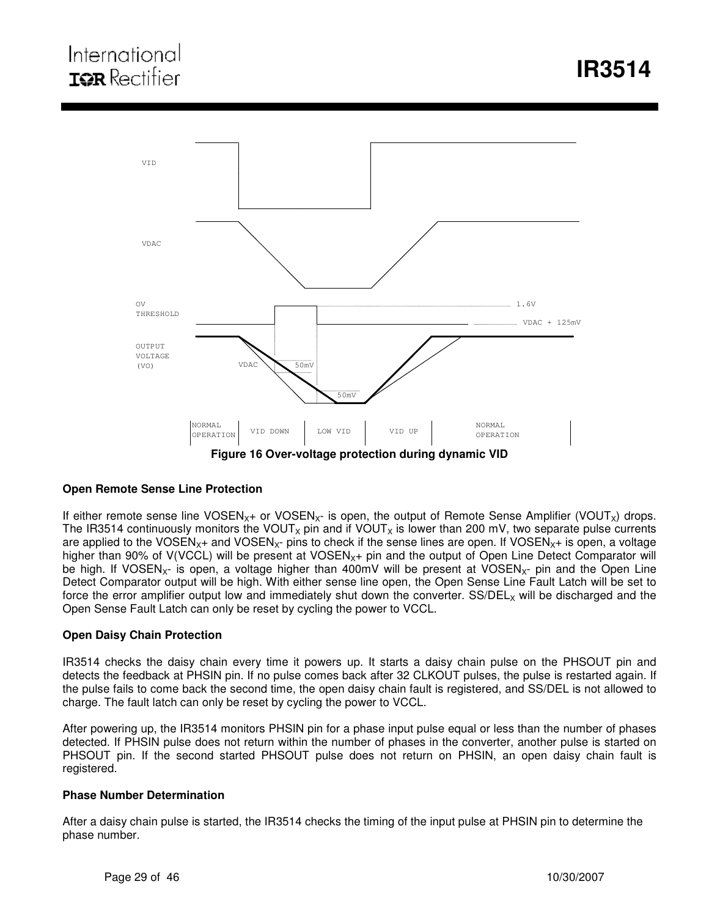

#### **Open Remote Sense Line Protection**

If either remote sense line VOSEN<sub>X+</sub> or VOSEN<sub>X</sub>- is open, the output of Remote Sense Amplifier (VOUT<sub>X</sub>) drops. The IR3514 continuously monitors the VOUT<sub>x</sub> pin and if VOUT<sub>x</sub> is lower than 200 mV, two separate pulse currents are applied to the VOSEN<sub>X</sub>+ and VOSEN<sub>X</sub>- pins to check if the sense lines are open. If VOSEN<sub>X</sub>+ is open, a voltage higher than 90% of  $V(VCCL)$  will be present at  $VOSEN<sub>X+</sub>$  pin and the output of Open Line Detect Comparator will be high. If VOSEN<sub>X</sub>- is open, a voltage higher than 400mV will be present at VOSEN<sub>X</sub>- pin and the Open Line Detect Comparator output will be high. With either sense line open, the Open Sense Line Fault Latch will be set to force the error amplifier output low and immediately shut down the converter.  $SS/DEL_x$  will be discharged and the Open Sense Fault Latch can only be reset by cycling the power to VCCL.

#### **Open Daisy Chain Protection**

IR3514 checks the daisy chain every time it powers up. It starts a daisy chain pulse on the PHSOUT pin and detects the feedback at PHSIN pin. If no pulse comes back after 32 CLKOUT pulses, the pulse is restarted again. If the pulse fails to come back the second time, the open daisy chain fault is registered, and SS/DEL is not allowed to charge. The fault latch can only be reset by cycling the power to VCCL.

After powering up, the IR3514 monitors PHSIN pin for a phase input pulse equal or less than the number of phases detected. If PHSIN pulse does not return within the number of phases in the converter, another pulse is started on PHSOUT pin. If the second started PHSOUT pulse does not return on PHSIN, an open daisy chain fault is registered.

#### **Phase Number Determination**

After a daisy chain pulse is started, the IR3514 checks the timing of the input pulse at PHSIN pin to determine the phase number.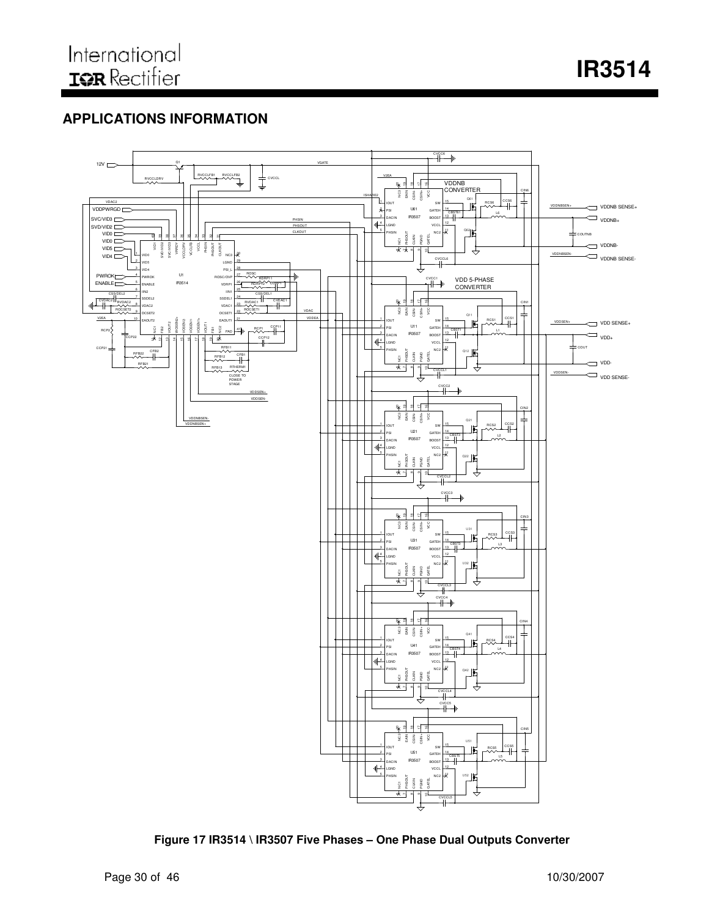**IR3514**

# **APPLICATIONS INFORMATION**



**Figure 17 IR3514 \ IR3507 Five Phases – One Phase Dual Outputs Converter**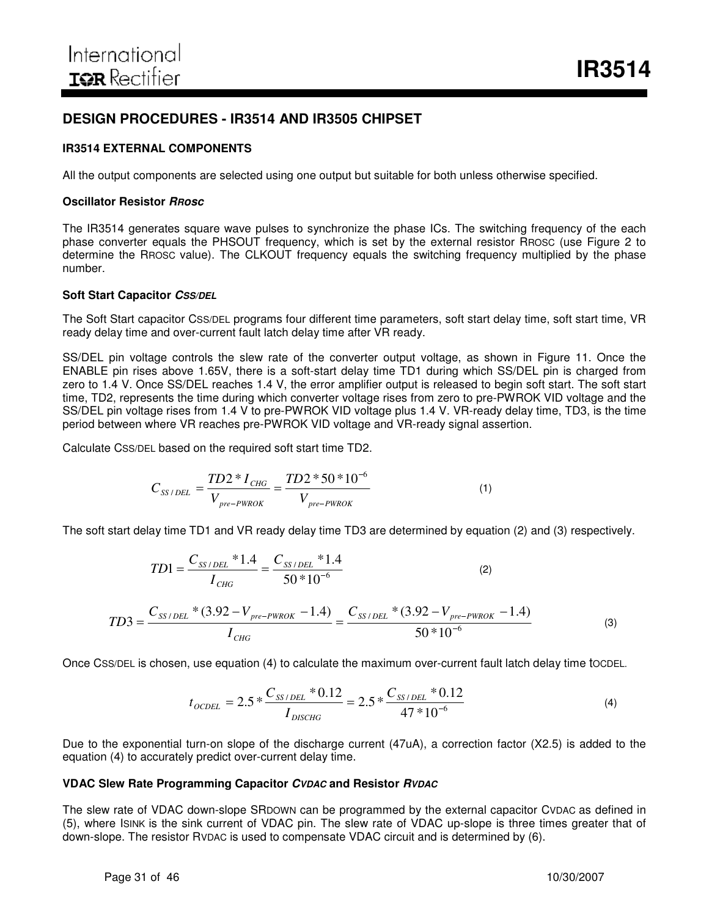# **DESIGN PROCEDURES - IR3514 AND IR3505 CHIPSET**

#### **IR3514 EXTERNAL COMPONENTS**

All the output components are selected using one output but suitable for both unless otherwise specified.

#### **Oscillator Resistor** *RRosc*

The IR3514 generates square wave pulses to synchronize the phase ICs. The switching frequency of the each phase converter equals the PHSOUT frequency, which is set by the external resistor RROSC (use Figure 2 to determine the RROSC value). The CLKOUT frequency equals the switching frequency multiplied by the phase number.

#### **Soft Start Capacitor** *CSS/DEL*

The Soft Start capacitor CSS/DEL programs four different time parameters, soft start delay time, soft start time, VR ready delay time and over-current fault latch delay time after VR ready.

SS/DEL pin voltage controls the slew rate of the converter output voltage, as shown in Figure 11. Once the ENABLE pin rises above 1.65V, there is a soft-start delay time TD1 during which SS/DEL pin is charged from zero to 1.4 V. Once SS/DEL reaches 1.4 V, the error amplifier output is released to begin soft start. The soft start time, TD2, represents the time during which converter voltage rises from zero to pre-PWROK VID voltage and the SS/DEL pin voltage rises from 1.4 V to pre-PWROK VID voltage plus 1.4 V. VR-ready delay time, TD3, is the time period between where VR reaches pre-PWROK VID voltage and VR-ready signal assertion.

Calculate CSS/DEL based on the required soft start time TD2.

$$
C_{SS/DEL} = \frac{TD2 * I_{CHG}}{V_{pre-PWROK}} = \frac{TD2 * 50 * 10^{-6}}{V_{pre-PWROK}}
$$
(1)

The soft start delay time TD1 and VR ready delay time TD3 are determined by equation (2) and (3) respectively.

$$
TD1 = \frac{C_{SS/DEL} * 1.4}{I_{CHG}} = \frac{C_{SS/DEL} * 1.4}{50 * 10^{-6}}
$$
(2)  

$$
TD3 = \frac{C_{SS/DEL} * (3.92 - V_{pre-PWROK} - 1.4)}{I_{CHG}} = \frac{C_{SS/DEL} * (3.92 - V_{pre-PWROK} - 1.4)}{50 * 10^{-6}}
$$
(3)

Once CSS/DEL is chosen, use equation (4) to calculate the maximum over-current fault latch delay time tOCDEL.

$$
t_{OCDEL} = 2.5 * \frac{C_{SS/DEL} * 0.12}{I_{DISCHG}} = 2.5 * \frac{C_{SS/DEL} * 0.12}{47 * 10^{-6}}
$$
(4)

Due to the exponential turn-on slope of the discharge current (47uA), a correction factor (X2.5) is added to the equation (4) to accurately predict over-current delay time.

#### **VDAC Slew Rate Programming Capacitor** *CVDAC* **and Resistor** *RVDAC*

The slew rate of VDAC down-slope SRDOWN can be programmed by the external capacitor CVDAC as defined in (5), where ISINK is the sink current of VDAC pin. The slew rate of VDAC up-slope is three times greater that of down-slope. The resistor RVDAC is used to compensate VDAC circuit and is determined by (6).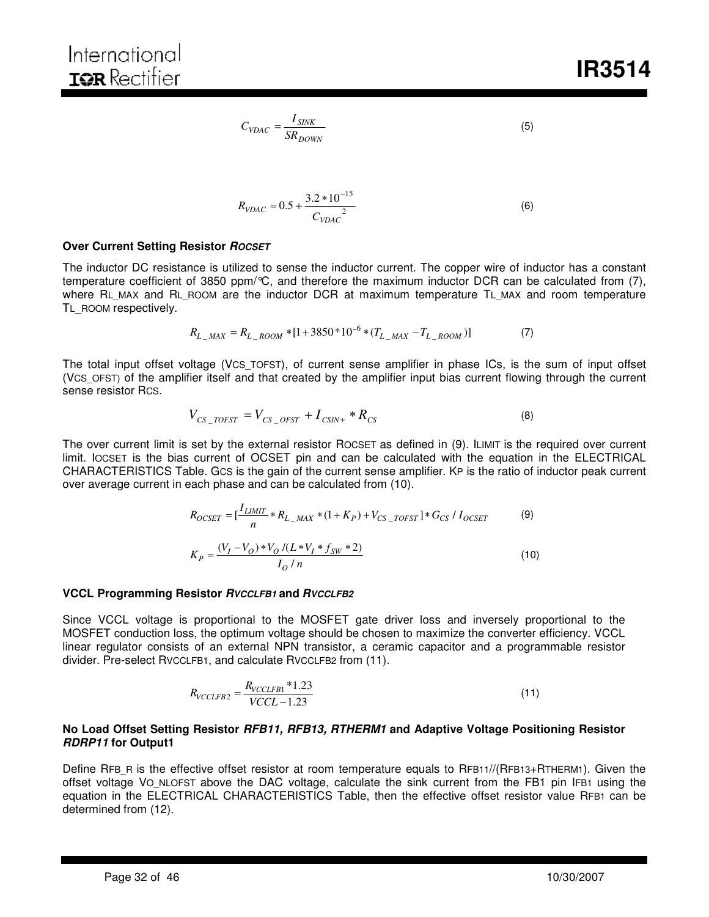$$
C_{VDAC} = \frac{I_{SINK}}{SR_{DOWN}} \tag{5}
$$

$$
R_{VDAC} = 0.5 + \frac{3.2 * 10^{-15}}{C_{VDAC}^2}
$$
 (6)

#### **Over Current Setting Resistor** *ROCSET*

The inductor DC resistance is utilized to sense the inductor current. The copper wire of inductor has a constant temperature coefficient of 3850 ppm/°C, and therefore the maximum inductor DCR can be calculated from (7), where RL\_MAX and RL\_ROOM are the inductor DCR at maximum temperature TL\_MAX and room temperature TL\_ROOM respectively.

$$
R_{L\_MAX} = R_{L\_Room} * [1 + 3850 * 10^{-6} * (T_{L\_MAX} - T_{L\_Room})]
$$
(7)

The total input offset voltage (VCS TOFST), of current sense amplifier in phase ICs, is the sum of input offset (VCS\_OFST) of the amplifier itself and that created by the amplifier input bias current flowing through the current sense resistor RCS.

$$
V_{CS\_TOFST} = V_{CS\_OFST} + I_{CSIN+} * R_{CS}
$$
\n
$$
(8)
$$

The over current limit is set by the external resistor ROCSET as defined in (9). ILIMIT is the required over current limit. IOCSET is the bias current of OCSET pin and can be calculated with the equation in the ELECTRICAL CHARACTERISTICS Table. GCS is the gain of the current sense amplifier. KP is the ratio of inductor peak current over average current in each phase and can be calculated from (10).

$$
R_{OCSET} = \left[\frac{I_{LIMIT}}{n} * R_{L_{MAX}} * (1 + K_P) + V_{CS_{TOFST}}\right] * G_{CS} / I_{OCSET}
$$
(9)  

$$
K_P = \frac{(V_I - V_O) * V_O / (L * V_I * f_{SW} * 2)}{I_O / n}
$$
(10)

#### **VCCL Programming Resistor** *RVCCLFB1* **and** *RVCCLFB2*

Since VCCL voltage is proportional to the MOSFET gate driver loss and inversely proportional to the MOSFET conduction loss, the optimum voltage should be chosen to maximize the converter efficiency. VCCL linear regulator consists of an external NPN transistor, a ceramic capacitor and a programmable resistor divider. Pre-select RVCCLFB1, and calculate RVCCLFB2 from (11).

$$
R_{VCCLFB2} = \frac{R_{VCCLFB1} * 1.23}{VCCL - 1.23} \tag{11}
$$

#### **No Load Offset Setting Resistor** *RFB11, RFB13, RTHERM1* **and Adaptive Voltage Positioning Resistor** *RDRP11* **for Output1**

Define RFB\_R is the effective offset resistor at room temperature equals to RFB11//(RFB13+RTHERM1). Given the offset voltage VO\_NLOFST above the DAC voltage, calculate the sink current from the FB1 pin IFB1 using the equation in the ELECTRICAL CHARACTERISTICS Table, then the effective offset resistor value RFB1 can be determined from (12).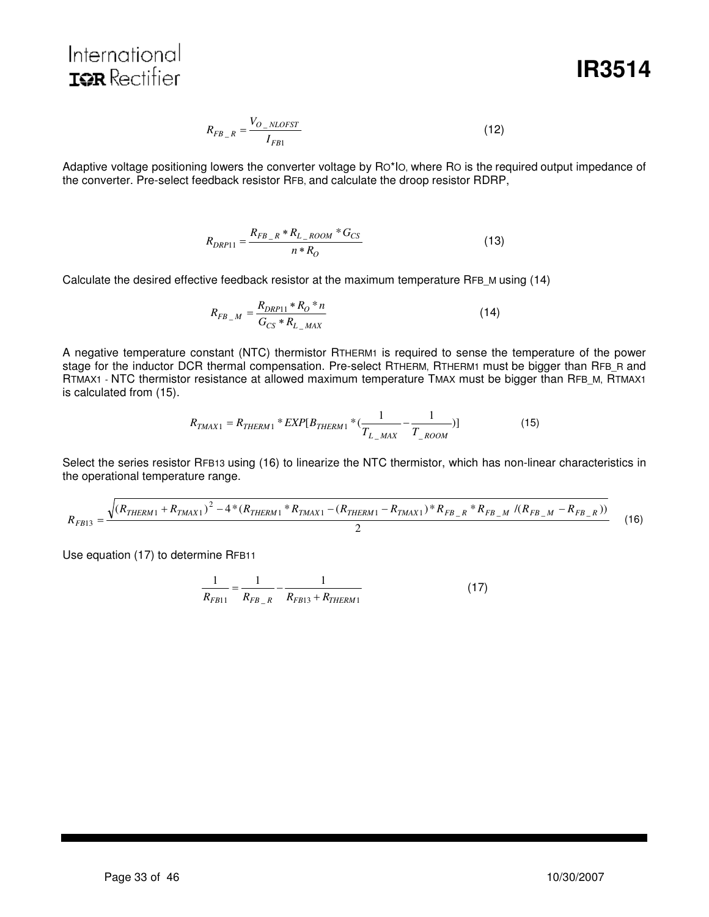International **IOR** Rectifier

**IR3514**

$$
R_{FB_R} = \frac{V_{O_NLOFST}}{I_{FB1}}\tag{12}
$$

Adaptive voltage positioning lowers the converter voltage by RO\*IO, where RO is the required output impedance of the converter. Pre-select feedback resistor RFB, and calculate the droop resistor RDRP,

$$
R_{DRP11} = \frac{R_{FB_R} * R_{L_ROOM} * G_{CS}}{n * R_O}
$$
\n(13)

Calculate the desired effective feedback resistor at the maximum temperature RFB\_M using (14)

$$
R_{FB-M} = \frac{R_{DRP11} * R_O * n}{G_{CS} * R_{L_MAX}}
$$
(14)

A negative temperature constant (NTC) thermistor RTHERM1 is required to sense the temperature of the power stage for the inductor DCR thermal compensation. Pre-select RTHERM, RTHERM1 must be bigger than RFB\_R and RTMAX1 - NTC thermistor resistance at allowed maximum temperature TMAX must be bigger than RFB\_M, RTMAX1 is calculated from (15).

$$
R_{TMAX1} = R_{THERM1} * EXP[B_{THERM1} * (\frac{1}{T_{L_MAX}} - \frac{1}{T_{ROM}})]
$$
\n(15)

Select the series resistor RFB13 using (16) to linearize the NTC thermistor, which has non-linear characteristics in the operational temperature range.

$$
R_{FB13} = \frac{\sqrt{(R_{THERM1} + R_{TMAX1})^2 - 4*(R_{THERM1} * R_{TMAX1} - (R_{THERM1} - R_{TMAX1}) * R_{FB_R} * R_{FB_M} / (R_{FB_M} - R_{FB_R}))}}{2}
$$
(16)

Use equation (17) to determine RFB11

$$
\frac{1}{R_{FB11}} = \frac{1}{R_{FB\_R}} - \frac{1}{R_{FB13} + R_{THERM1}}
$$
(17)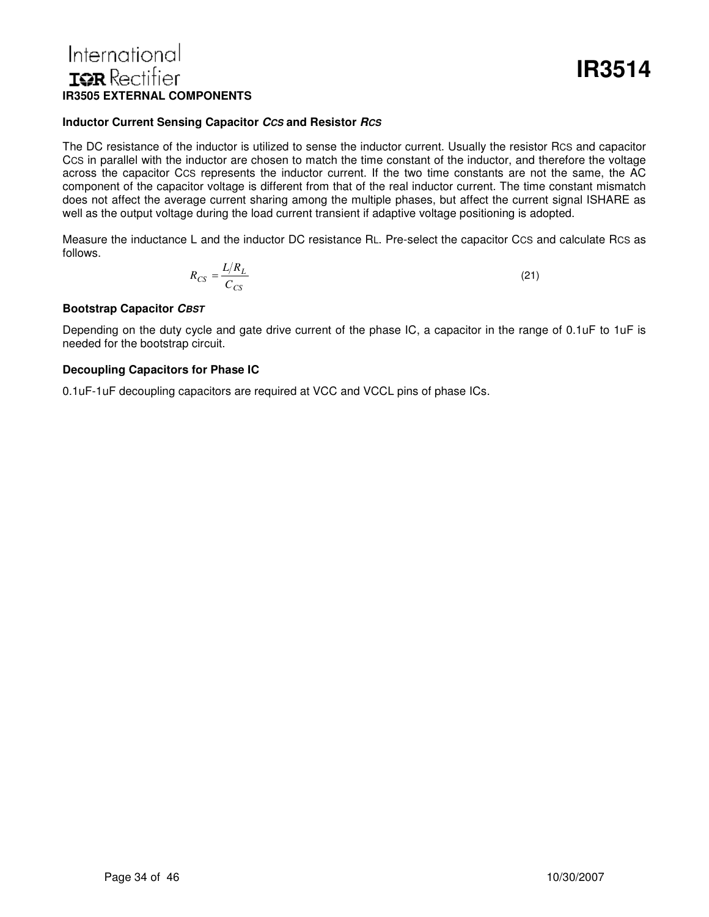# International **ISR** Rectifier **IR3505 EXTERNAL COMPONENTS**

#### **Inductor Current Sensing Capacitor** *CCS* **and Resistor** *RCS*

The DC resistance of the inductor is utilized to sense the inductor current. Usually the resistor RCS and capacitor CCS in parallel with the inductor are chosen to match the time constant of the inductor, and therefore the voltage across the capacitor CCS represents the inductor current. If the two time constants are not the same, the AC component of the capacitor voltage is different from that of the real inductor current. The time constant mismatch does not affect the average current sharing among the multiple phases, but affect the current signal ISHARE as well as the output voltage during the load current transient if adaptive voltage positioning is adopted.

Measure the inductance L and the inductor DC resistance RL. Pre-select the capacitor CCS and calculate RCS as follows.

$$
R_{CS} = \frac{L/R_L}{C_{CS}}\tag{21}
$$

#### **Bootstrap Capacitor** *CBST*

Depending on the duty cycle and gate drive current of the phase IC, a capacitor in the range of 0.1uF to 1uF is needed for the bootstrap circuit.

#### **Decoupling Capacitors for Phase IC**

0.1uF-1uF decoupling capacitors are required at VCC and VCCL pins of phase ICs.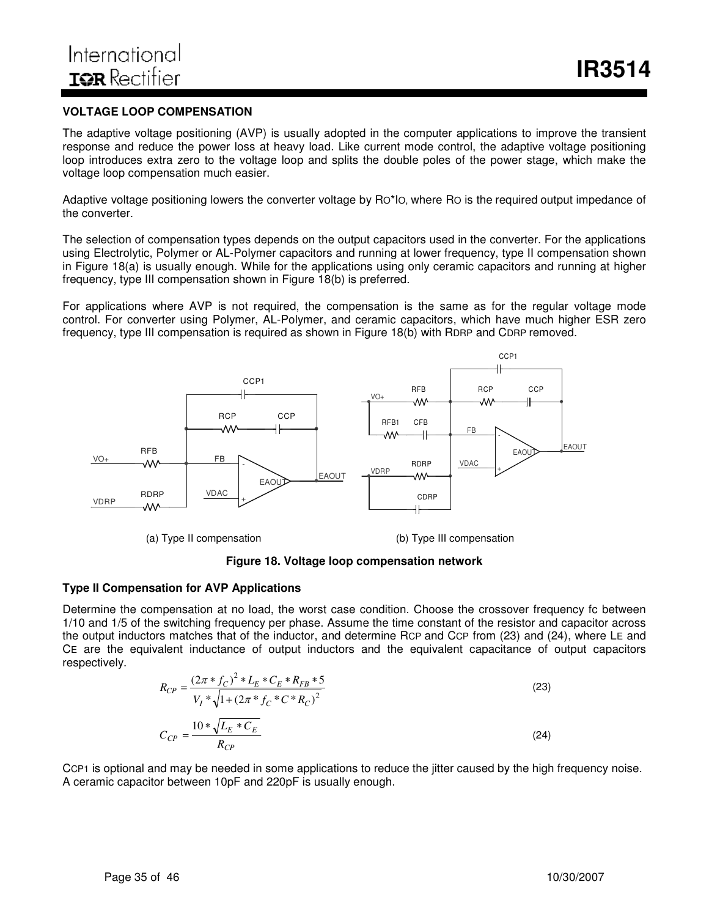#### **VOLTAGE LOOP COMPENSATION**

The adaptive voltage positioning (AVP) is usually adopted in the computer applications to improve the transient response and reduce the power loss at heavy load. Like current mode control, the adaptive voltage positioning loop introduces extra zero to the voltage loop and splits the double poles of the power stage, which make the voltage loop compensation much easier.

Adaptive voltage positioning lowers the converter voltage by RO\*IO, where RO is the required output impedance of the converter.

The selection of compensation types depends on the output capacitors used in the converter. For the applications using Electrolytic, Polymer or AL-Polymer capacitors and running at lower frequency, type II compensation shown in Figure 18(a) is usually enough. While for the applications using only ceramic capacitors and running at higher frequency, type III compensation shown in Figure 18(b) is preferred.

For applications where AVP is not required, the compensation is the same as for the regular voltage mode control. For converter using Polymer, AL-Polymer, and ceramic capacitors, which have much higher ESR zero frequency, type III compensation is required as shown in Figure 18(b) with RDRP and CDRP removed.



#### **Figure 18. Voltage loop compensation network**

#### **Type II Compensation for AVP Applications**

Determine the compensation at no load, the worst case condition. Choose the crossover frequency fc between 1/10 and 1/5 of the switching frequency per phase. Assume the time constant of the resistor and capacitor across the output inductors matches that of the inductor, and determine RCP and CCP from (23) and (24), where LE and CE are the equivalent inductance of output inductors and the equivalent capacitance of output capacitors respectively.

$$
R_{CP} = \frac{(2\pi * f_C)^2 * L_E * C_E * R_{FB} * 5}{V_I * \sqrt{1 + (2\pi * f_C * C * R_C)^2}}
$$
\n
$$
C_{CP} = \frac{10 * \sqrt{L_E * C_E}}{R_{CP}}
$$
\n(24)

CCP1 is optional and may be needed in some applications to reduce the jitter caused by the high frequency noise. A ceramic capacitor between 10pF and 220pF is usually enough.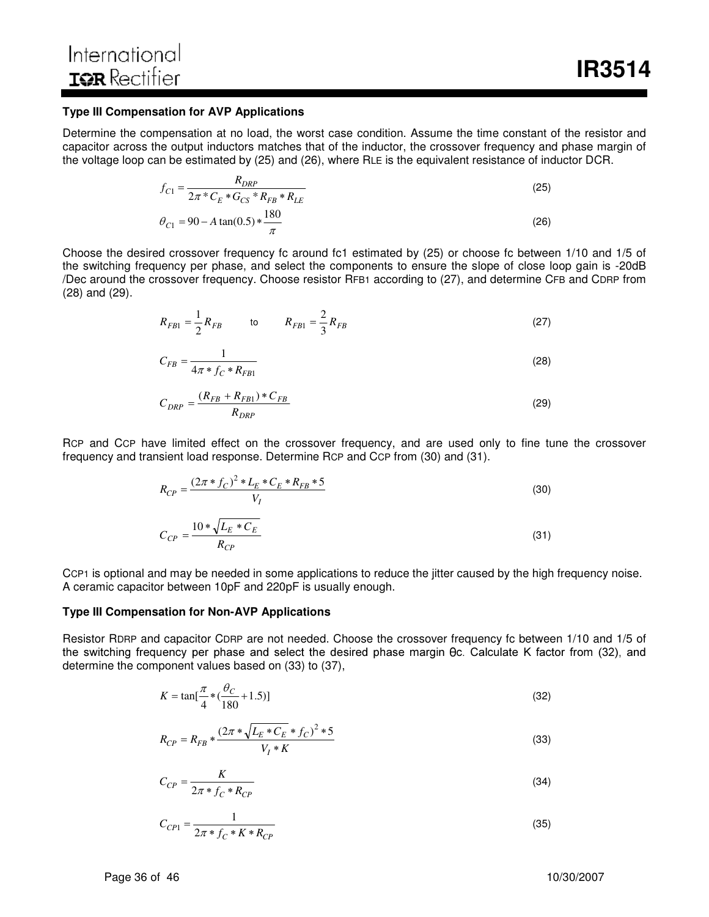#### **Type III Compensation for AVP Applications**

Determine the compensation at no load, the worst case condition. Assume the time constant of the resistor and capacitor across the output inductors matches that of the inductor, the crossover frequency and phase margin of the voltage loop can be estimated by (25) and (26), where RLE is the equivalent resistance of inductor DCR.

$$
f_{C1} = \frac{R_{DRP}}{2\pi \times C_E \times G_{CS} \times R_{FB} \times R_{LE}}
$$
  
\n
$$
\theta_{C1} = 90 - A \tan(0.5) \times \frac{180}{\pi}
$$
\n(26)

Choose the desired crossover frequency fc around fc1 estimated by (25) or choose fc between 1/10 and 1/5 of the switching frequency per phase, and select the components to ensure the slope of close loop gain is -20dB /Dec around the crossover frequency. Choose resistor RFB1 according to (27), and determine CFB and CDRP from (28) and (29).

$$
R_{FB1} = \frac{1}{2} R_{FB} \qquad \qquad \text{to} \qquad R_{FB1} = \frac{2}{3} R_{FB} \tag{27}
$$

$$
C_{FB} = \frac{1}{4\pi * f_C * R_{FB1}}
$$
 (28)

$$
C_{DRP} = \frac{(R_{FB} + R_{FB1}) \cdot C_{FB}}{R_{DRP}} \tag{29}
$$

RCP and CCP have limited effect on the crossover frequency, and are used only to fine tune the crossover frequency and transient load response. Determine RCP and CCP from (30) and (31).

$$
R_{CP} = \frac{(2\pi * f_C)^2 * L_E * C_E * R_{FB} * 5}{V_I}
$$
\n(30)

$$
C_{CP} = \frac{10 * \sqrt{L_E * C_E}}{R_{CP}}
$$
\n(31)

CCP1 is optional and may be needed in some applications to reduce the jitter caused by the high frequency noise. A ceramic capacitor between 10pF and 220pF is usually enough.

#### **Type III Compensation for Non-AVP Applications**

Resistor RDRP and capacitor CDRP are not needed. Choose the crossover frequency fc between 1/10 and 1/5 of the switching frequency per phase and select the desired phase margin  $\theta$ c. Calculate K factor from (32), and determine the component values based on (33) to (37),

$$
K = \tan[\frac{\pi}{4} * (\frac{\theta_C}{180} + 1.5)]
$$
\n(32)

$$
R_{CP} = R_{FB} * \frac{(2\pi * \sqrt{L_E * C_E} * f_C)^2 * 5}{V_I * K}
$$
\n(33)

$$
C_{CP} = \frac{K}{2\pi * f_C * R_{CP}}
$$
\n
$$
\tag{34}
$$

$$
C_{CP1} = \frac{1}{2\pi * f_C * K * R_{CP}}
$$
\n(35)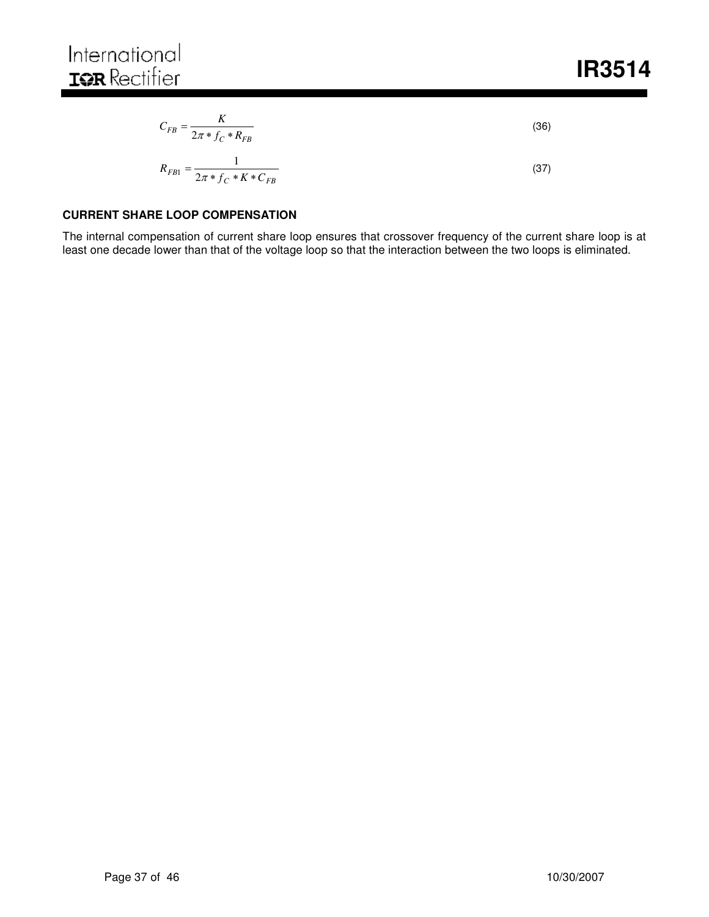$$
C_{FB} = \frac{K}{2\pi * f_C * R_{FB}}
$$
(36)

$$
R_{FB1} = \frac{1}{2\pi * f_C * K * C_{FB}}
$$
\n(37)

#### **CURRENT SHARE LOOP COMPENSATION**

The internal compensation of current share loop ensures that crossover frequency of the current share loop is at least one decade lower than that of the voltage loop so that the interaction between the two loops is eliminated.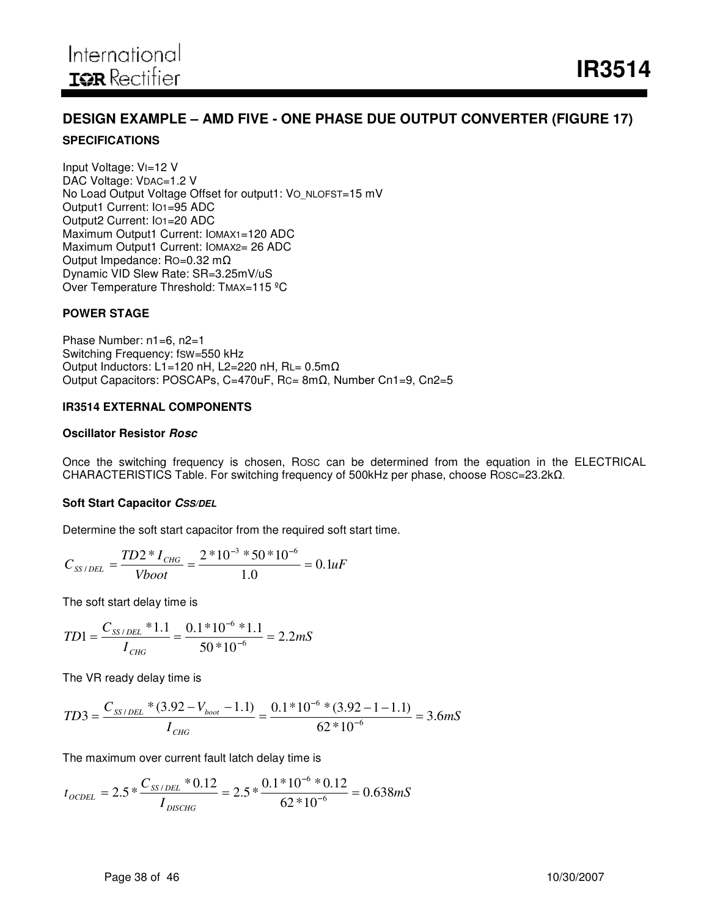# **DESIGN EXAMPLE – AMD FIVE - ONE PHASE DUE OUTPUT CONVERTER (FIGURE 17) SPECIFICATIONS**

Input Voltage: VI=12 V DAC Voltage: VDAC=1.2 V No Load Output Voltage Offset for output1: VO\_NLOFST=15 mV Output1 Current: IO1=95 ADC Output2 Current: IO1=20 ADC Maximum Output1 Current: IOMAX1=120 ADC Maximum Output1 Current: IOMAX2= 26 ADC Output Impedance: RO=0.32 m Dynamic VID Slew Rate: SR=3.25mV/uS Over Temperature Threshold: TMAX=115 °C

#### **POWER STAGE**

Phase Number: n1=6, n2=1 Switching Frequency: fSW=550 kHz Output Inductors: L1=120 nH, L2=220 nH, RL=  $0.5 \text{m}\Omega$ Output Capacitors: POSCAPs, C=470uF, Rc=  $8m\Omega$ , Number Cn1=9, Cn2=5

#### **IR3514 EXTERNAL COMPONENTS**

#### **Oscillator Resistor** *Rosc*

Once the switching frequency is chosen, ROSC can be determined from the equation in the ELECTRICAL CHARACTERISTICS Table. For switching frequency of 500kHz per phase, choose Rosc=23.2k $\Omega$ .

#### **Soft Start Capacitor** *CSS/DEL*

Determine the soft start capacitor from the required soft start time.

$$
C_{SS/DEL} = \frac{TD2 * I_{CHG}}{Vboot} = \frac{2 * 10^{-3} * 50 * 10^{-6}}{1.0} = 0.1 uF
$$

The soft start delay time is

$$
TD1 = \frac{C_{SS/DEL} * 1.1}{I_{CHG}} = \frac{0.1 * 10^{-6} * 1.1}{50 * 10^{-6}} = 2.2 mS
$$

The VR ready delay time is

$$
TD3 = \frac{C_{SS/DEL} * (3.92 - V_{boot} - 1.1)}{I_{CHG}} = \frac{0.1 * 10^{-6} * (3.92 - 1 - 1.1)}{62 * 10^{-6}} = 3.6 mS
$$

The maximum over current fault latch delay time is

$$
t_{\text{OCDEL}} = 2.5 * \frac{C_{SS/DEL} * 0.12}{I_{\text{DISCHG}}} = 2.5 * \frac{0.1 * 10^{-6} * 0.12}{62 * 10^{-6}} = 0.638 \text{mS}
$$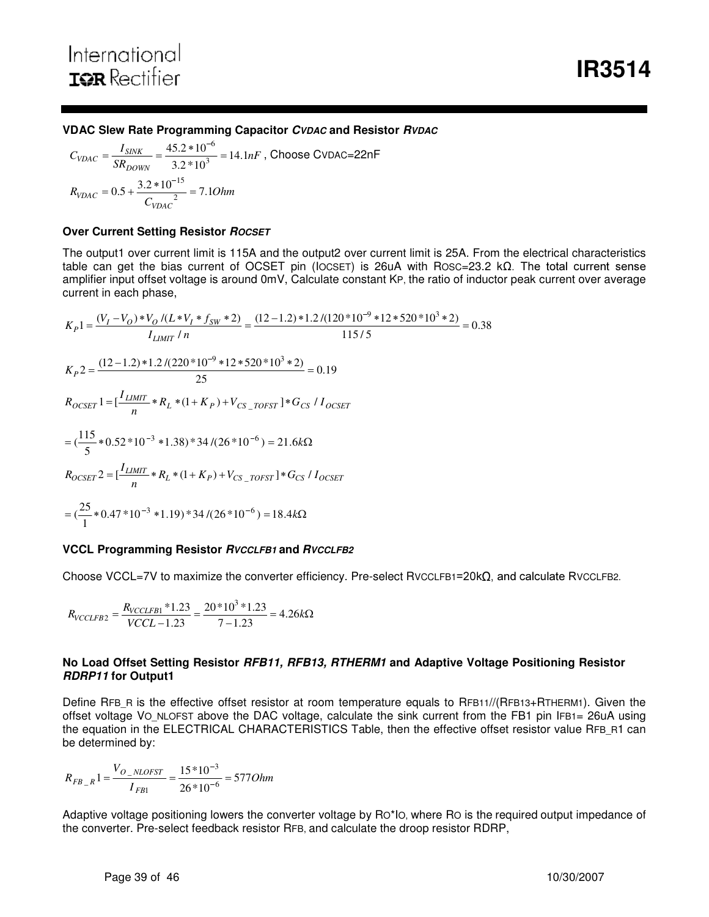#### **VDAC Slew Rate Programming Capacitor** *CVDAC* **and Resistor** *RVDAC*

$$
C_{VDAC} = \frac{I_{SINK}}{SR_{DOWN}} = \frac{45.2 * 10^{-6}}{3.2 * 10^{3}} = 14.1nF
$$
, Choose CVDAC=22nF  

$$
R_{VDAC} = 0.5 + \frac{3.2 * 10^{-15}}{C_{VDAC}^{2}} = 7.1Ohm
$$

#### **Over Current Setting Resistor** *ROCSET*

The output1 over current limit is 115A and the output2 over current limit is 25A. From the electrical characteristics table can get the bias current of OCSET pin (IOCSET) is 26uA with ROSC=23.2 k $\Omega$ . The total current sense amplifier input offset voltage is around 0mV, Calculate constant KP, the ratio of inductor peak current over average current in each phase,

$$
K_{P}1 = \frac{(V_{I} - V_{O}) * V_{O} / (L*V_{I} * f_{SW} * 2)}{I_{LIMIT} / n} = \frac{(12 - 1.2) * 1.2 / (120 * 10^{-9} * 12 * 520 * 10^{3} * 2)}{115 / 5} = 0.38
$$
  
\n
$$
K_{P}2 = \frac{(12 - 1.2) * 1.2 / (220 * 10^{-9} * 12 * 520 * 10^{3} * 2)}{25} = 0.19
$$
  
\n
$$
R_{OCSET}1 = \left[\frac{I_{LIMIT}}{n} * R_{L} * (1 + K_{P}) + V_{CS\_TOFST}\right] * G_{CS} / I_{OCSET}
$$
  
\n
$$
= (\frac{115}{5} * 0.52 * 10^{-3} * 1.38) * 34 / (26 * 10^{-6}) = 21.6k\Omega
$$
  
\n
$$
R_{OCSET}2 = \left[\frac{I_{LIMIT}}{n} * R_{L} * (1 + K_{P}) + V_{CS\_TOFST}\right] * G_{CS} / I_{OCSET}
$$
  
\n
$$
= (\frac{25}{1} * 0.47 * 10^{-3} * 1.19) * 34 / (26 * 10^{-6}) = 18.4k\Omega
$$

#### **VCCL Programming Resistor** *RVCCLFB1* **and** *RVCCLFB2*

Choose VCCL=7V to maximize the converter efficiency. Pre-select RvccLFB1=20 $k\Omega$ , and calculate RvccLFB2.

$$
R_{VCCLFB2} = \frac{R_{VCCLFB1} * 1.23}{VCCL - 1.23} = \frac{20 * 10^3 * 1.23}{7 - 1.23} = 4.26k\Omega
$$

#### **No Load Offset Setting Resistor** *RFB11, RFB13, RTHERM1* **and Adaptive Voltage Positioning Resistor** *RDRP11* **for Output1**

Define RFB\_R is the effective offset resistor at room temperature equals to RFB11//(RFB13+RTHERM1). Given the offset voltage VO\_NLOFST above the DAC voltage, calculate the sink current from the FB1 pin IFB1= 26uA using the equation in the ELECTRICAL CHARACTERISTICS Table, then the effective offset resistor value RFB\_R1 can be determined by:

$$
R_{FB_R}1 = \frac{V_{O_NLOFST}}{I_{FB1}} = \frac{15*10^{-3}}{26*10^{-6}} = 577Ohm
$$

Adaptive voltage positioning lowers the converter voltage by RO\*IO, where RO is the required output impedance of the converter. Pre-select feedback resistor RFB, and calculate the droop resistor RDRP,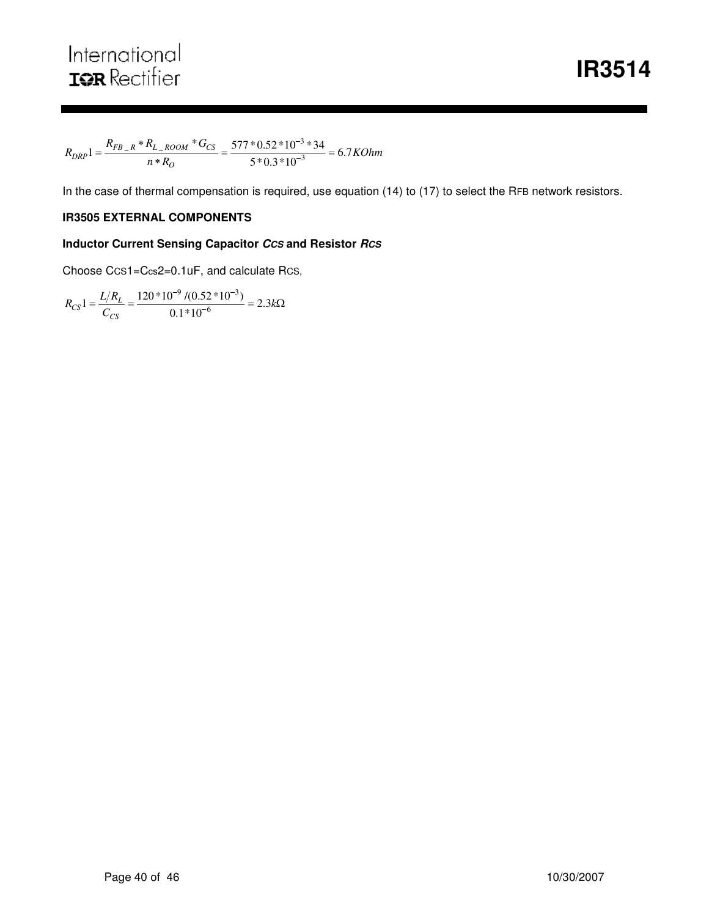$\frac{L_{1.000M} - E_{3}}{n * R_{0}} = \frac{377.032 \times 10^{-3}}{5 * 0.3 * 10^{-3}} = 6.7 \text{KOhm}$  $R_{DRP}1 = \frac{R_{FB}R*R_{L}R_{COM}*G}{R}$ *O*  $E_{DRP}1 = \frac{K_{FB}-R^{-1}K_{L-ROOM} \cdot 9C_S}{n * R_O} = \frac{577 \cdot 0.52 \cdot 10^{-3} \cdot 34}{5 * 0.3 * 10^{-3}} = 6.7$  $1 = \frac{R_{FB_R} * R_{L_R} / 800 M} * G_{CS}}{R_{B_R} * R} = \frac{577 * 0.52 * 10^{-3} * 34}{5 * 0.3 * 10^{-3}}$  $\frac{{{}_R} * R_{L\_Room}}{n * R_O} = \frac{577 * 0.52 * 10^{-3}}{5 * 0.3 * 10^{-3}}$  $=\frac{R_{FB_R} * R_{L_R} / 0.52 * 10^{-3} * 34}{R_{L_R} / 0.52 * 10^{-3} * 34}$ 

In the case of thermal compensation is required, use equation (14) to (17) to select the RFB network resistors.

#### **IR3505 EXTERNAL COMPONENTS**

#### **Inductor Current Sensing Capacitor** *CCS* **and Resistor** *RCS*

Choose CCS1=Ccs2=0.1uF, and calculate RCS,

$$
R_{CS}1 = \frac{L/R_L}{C_{CS}} = \frac{120*10^{-9} / (0.52*10^{-3})}{0.1*10^{-6}} = 2.3k\Omega
$$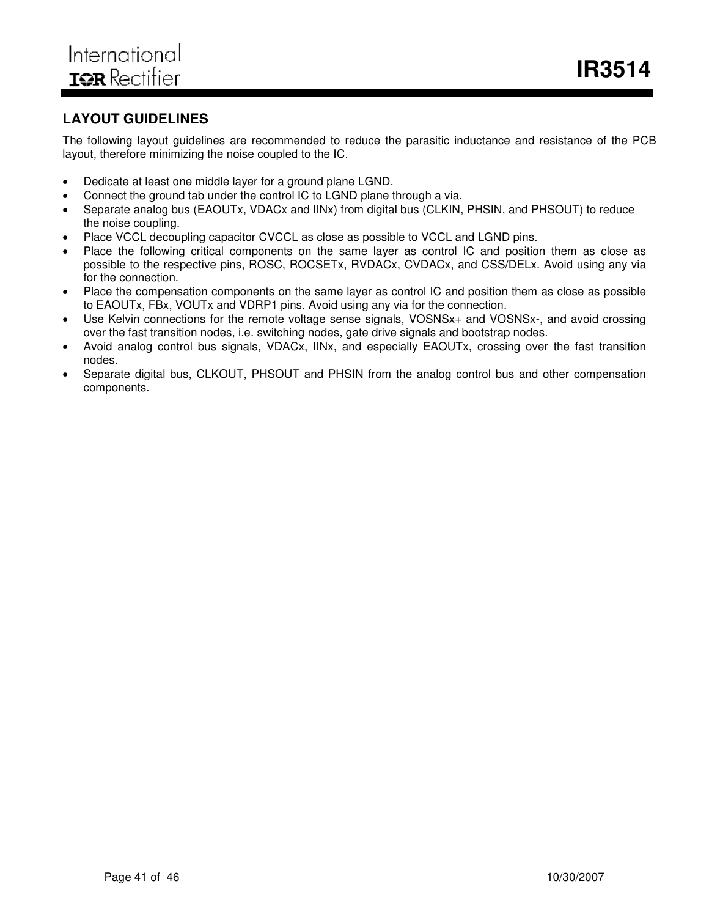# **LAYOUT GUIDELINES**

The following layout guidelines are recommended to reduce the parasitic inductance and resistance of the PCB layout, therefore minimizing the noise coupled to the IC.

- Dedicate at least one middle layer for a ground plane LGND.
- Connect the ground tab under the control IC to LGND plane through a via.
- Separate analog bus (EAOUTx, VDACx and IINx) from digital bus (CLKIN, PHSIN, and PHSOUT) to reduce the noise coupling.
- Place VCCL decoupling capacitor CVCCL as close as possible to VCCL and LGND pins.
- Place the following critical components on the same layer as control IC and position them as close as possible to the respective pins, ROSC, ROCSETx, RVDACx, CVDACx, and CSS/DELx. Avoid using any via for the connection.
- Place the compensation components on the same layer as control IC and position them as close as possible to EAOUTx, FBx, VOUTx and VDRP1 pins. Avoid using any via for the connection.
- Use Kelvin connections for the remote voltage sense signals, VOSNSx+ and VOSNSx-, and avoid crossing over the fast transition nodes, i.e. switching nodes, gate drive signals and bootstrap nodes.
- Avoid analog control bus signals, VDACx, IINx, and especially EAOUTx, crossing over the fast transition nodes.
- Separate digital bus, CLKOUT, PHSOUT and PHSIN from the analog control bus and other compensation components.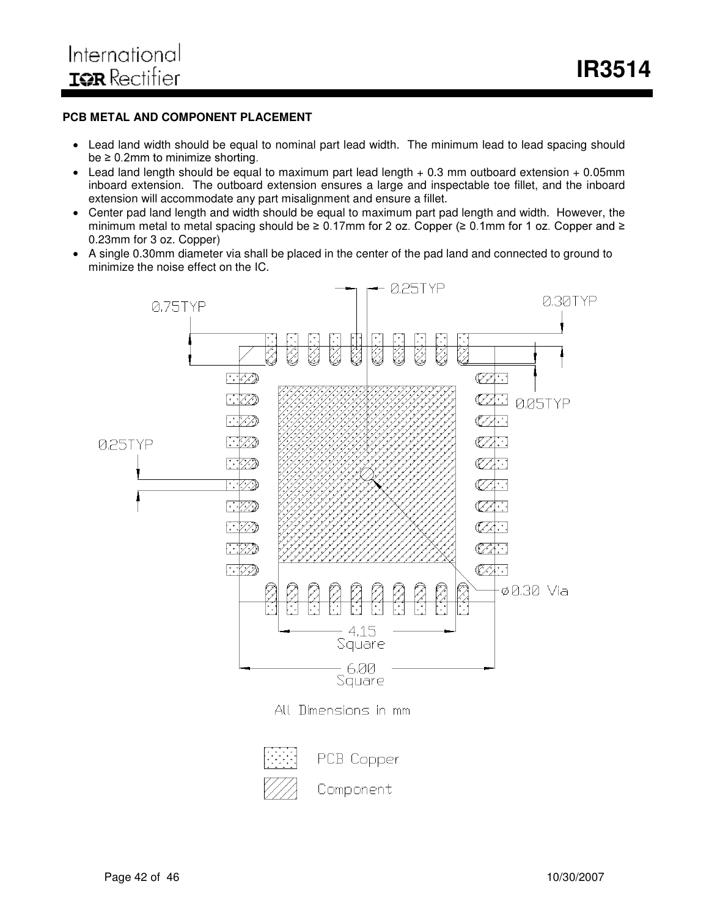#### **PCB METAL AND COMPONENT PLACEMENT**

- Lead land width should be equal to nominal part lead width. The minimum lead to lead spacing should  $be \geq 0.2$ mm to minimize shorting.
- Lead land length should be equal to maximum part lead length  $+ 0.3$  mm outboard extension  $+ 0.05$ mm inboard extension. The outboard extension ensures a large and inspectable toe fillet, and the inboard extension will accommodate any part misalignment and ensure a fillet.
- Center pad land length and width should be equal to maximum part pad length and width. However, the minimum metal to metal spacing should be  $\geq 0.17$ mm for 2 oz. Copper  $(\geq 0.1$ mm for 1 oz. Copper and  $\geq$ 0.23mm for 3 oz. Copper)
- A single 0.30mm diameter via shall be placed in the center of the pad land and connected to ground to minimize the noise effect on the IC.



Component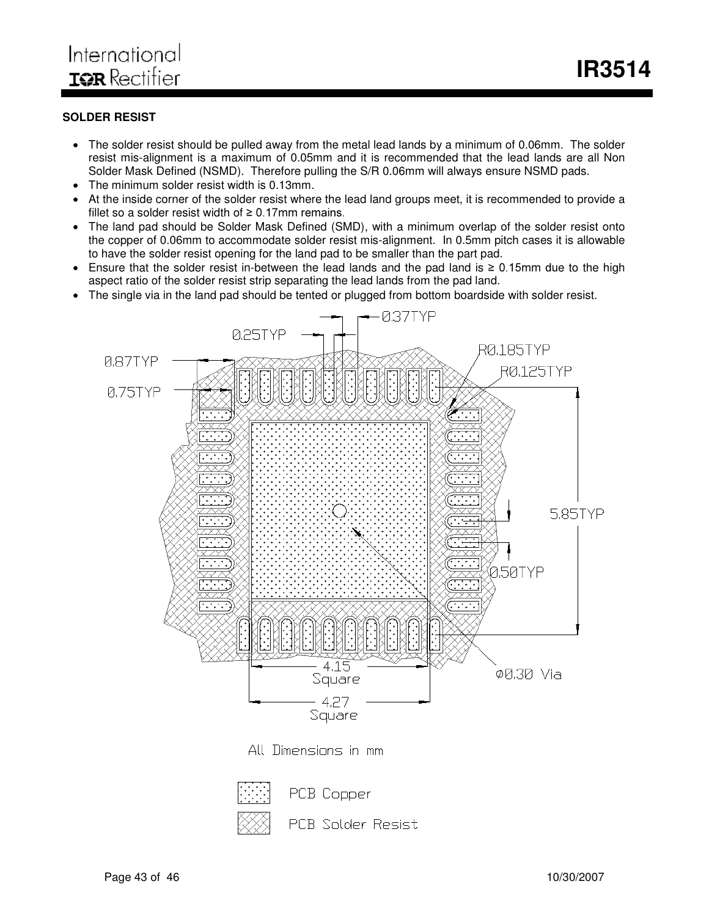#### **SOLDER RESIST**

- The solder resist should be pulled away from the metal lead lands by a minimum of 0.06mm. The solder resist mis-alignment is a maximum of 0.05mm and it is recommended that the lead lands are all Non Solder Mask Defined (NSMD). Therefore pulling the S/R 0.06mm will always ensure NSMD pads.
- The minimum solder resist width is 0.13mm.
- At the inside corner of the solder resist where the lead land groups meet, it is recommended to provide a fillet so a solder resist width of  $\geq 0.17$ mm remains.
- The land pad should be Solder Mask Defined (SMD), with a minimum overlap of the solder resist onto the copper of 0.06mm to accommodate solder resist mis-alignment. In 0.5mm pitch cases it is allowable to have the solder resist opening for the land pad to be smaller than the part pad.
- Ensure that the solder resist in-between the lead lands and the pad land is  $\geq 0.15$ mm due to the high aspect ratio of the solder resist strip separating the lead lands from the pad land.
- The single via in the land pad should be tented or plugged from bottom boardside with solder resist.





PCB Copper

**PCB Solder Resist**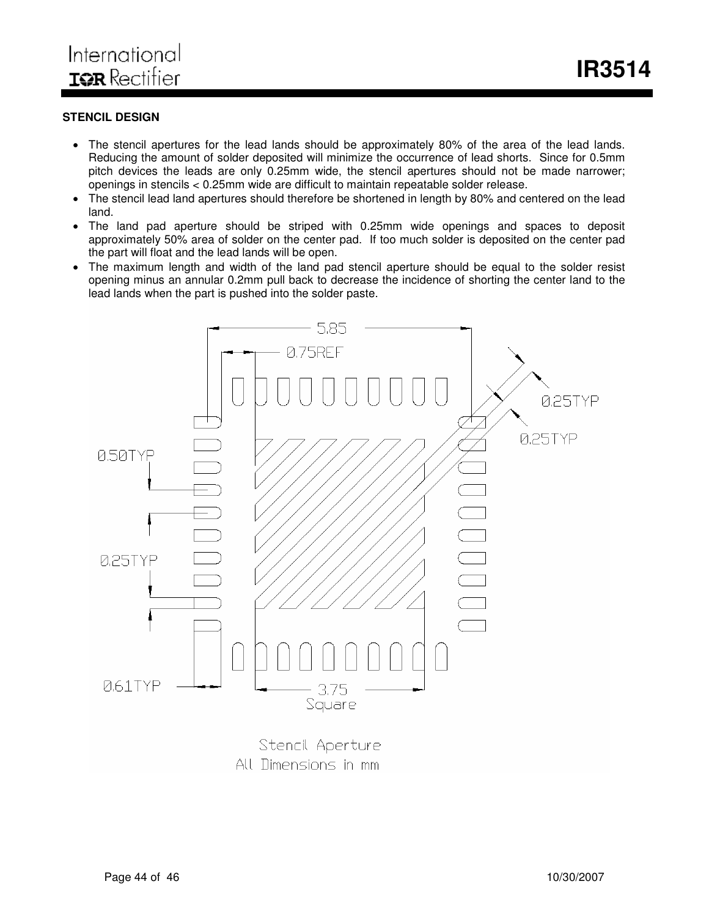#### **STENCIL DESIGN**

- The stencil apertures for the lead lands should be approximately 80% of the area of the lead lands. Reducing the amount of solder deposited will minimize the occurrence of lead shorts. Since for 0.5mm pitch devices the leads are only 0.25mm wide, the stencil apertures should not be made narrower; openings in stencils < 0.25mm wide are difficult to maintain repeatable solder release.
- The stencil lead land apertures should therefore be shortened in length by 80% and centered on the lead land.
- The land pad aperture should be striped with 0.25mm wide openings and spaces to deposit approximately 50% area of solder on the center pad. If too much solder is deposited on the center pad the part will float and the lead lands will be open.
- The maximum length and width of the land pad stencil aperture should be equal to the solder resist opening minus an annular 0.2mm pull back to decrease the incidence of shorting the center land to the lead lands when the part is pushed into the solder paste.



All Dimensions in mm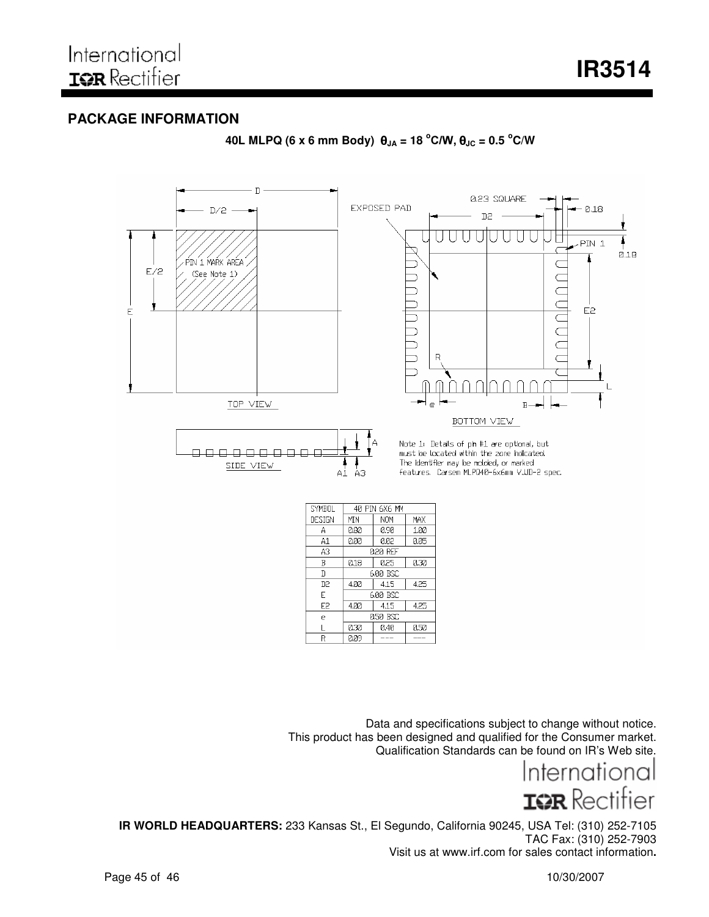## **PACKAGE INFORMATION**



**40L MLPQ (6 x 6 mm Body) JA = 18 <sup>o</sup>&: JC = 0.5 <sup>o</sup>C/W**

Data and specifications subject to change without notice. This product has been designed and qualified for the Consumer market. Qualification Standards can be found on IR's Web site.

Internationa IGR Rectifier

**IR WORLD HEADQUARTERS:** 233 Kansas St., El Segundo, California 90245, USA Tel: (310) 252-7105 TAC Fax: (310) 252-7903 Visit us at www.irf.com for sales contact information**.**